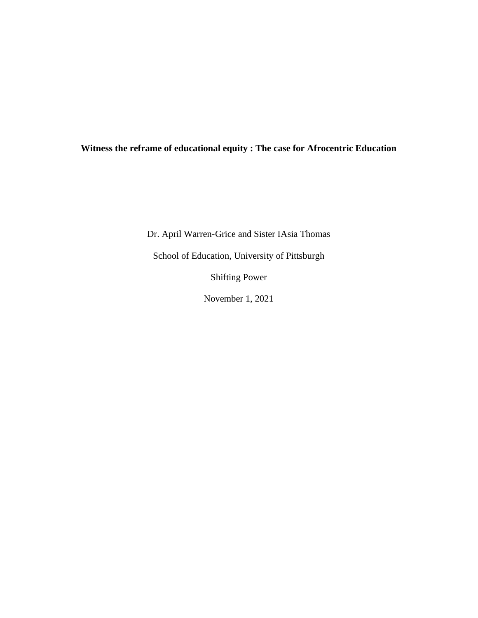# **Witness the reframe of educational equity : The case for Afrocentric Education**

Dr. April Warren-Grice and Sister IAsia Thomas

School of Education, University of Pittsburgh

Shifting Power

November 1, 2021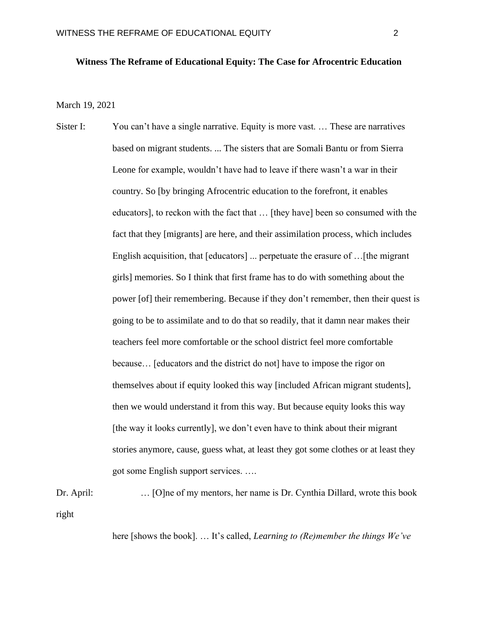# **Witness The Reframe of Educational Equity: The Case for Afrocentric Education**

March 19, 2021

Sister I: You can't have a single narrative. Equity is more vast. ... These are narratives based on migrant students. ... The sisters that are Somali Bantu or from Sierra Leone for example, wouldn't have had to leave if there wasn't a war in their country. So [by bringing Afrocentric education to the forefront, it enables educators], to reckon with the fact that … [they have] been so consumed with the fact that they [migrants] are here, and their assimilation process, which includes English acquisition, that [educators] ... perpetuate the erasure of …[the migrant girls] memories. So I think that first frame has to do with something about the power [of] their remembering. Because if they don't remember, then their quest is going to be to assimilate and to do that so readily, that it damn near makes their teachers feel more comfortable or the school district feel more comfortable because… [educators and the district do not] have to impose the rigor on themselves about if equity looked this way [included African migrant students], then we would understand it from this way. But because equity looks this way [the way it looks currently], we don't even have to think about their migrant stories anymore, cause, guess what, at least they got some clothes or at least they got some English support services. ….

Dr. April: … [O]ne of my mentors, her name is Dr. Cynthia Dillard, wrote this book right

here [shows the book]. … It's called, *Learning to (Re)member the things We've*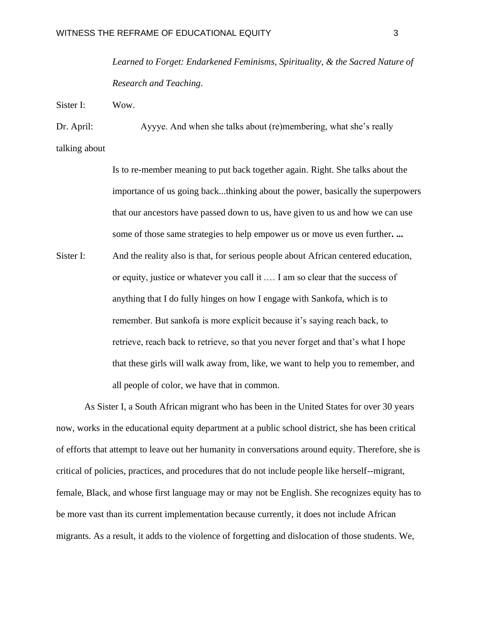*Learned to Forget: Endarkened Feminisms, Spirituality, & the Sacred Nature of Research and Teaching*.

Sister I: Wow.

Dr. April: Ayyye. And when she talks about (re)membering, what she's really talking about

Is to re-member meaning to put back together again. Right. She talks about the importance of us going back...thinking about the power, basically the superpowers that our ancestors have passed down to us, have given to us and how we can use some of those same strategies to help empower us or move us even further**. ...** Sister I: And the reality also is that, for serious people about African centered education, or equity, justice or whatever you call it .… I am so clear that the success of anything that I do fully hinges on how I engage with Sankofa, which is to remember. But sankofa is more explicit because it's saying reach back, to retrieve, reach back to retrieve, so that you never forget and that's what I hope that these girls will walk away from, like, we want to help you to remember, and all people of color, we have that in common.

As Sister I, a South African migrant who has been in the United States for over 30 years now, works in the educational equity department at a public school district, she has been critical of efforts that attempt to leave out her humanity in conversations around equity. Therefore, she is critical of policies, practices, and procedures that do not include people like herself--migrant, female, Black, and whose first language may or may not be English. She recognizes equity has to be more vast than its current implementation because currently, it does not include African migrants. As a result, it adds to the violence of forgetting and dislocation of those students. We,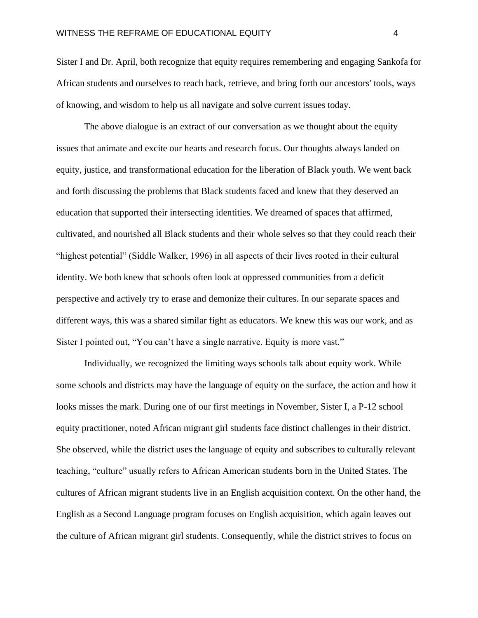Sister I and Dr. April, both recognize that equity requires remembering and engaging Sankofa for African students and ourselves to reach back, retrieve, and bring forth our ancestors' tools, ways of knowing, and wisdom to help us all navigate and solve current issues today.

The above dialogue is an extract of our conversation as we thought about the equity issues that animate and excite our hearts and research focus. Our thoughts always landed on equity, justice, and transformational education for the liberation of Black youth. We went back and forth discussing the problems that Black students faced and knew that they deserved an education that supported their intersecting identities. We dreamed of spaces that affirmed, cultivated, and nourished all Black students and their whole selves so that they could reach their "highest potential" (Siddle Walker, 1996) in all aspects of their lives rooted in their cultural identity. We both knew that schools often look at oppressed communities from a deficit perspective and actively try to erase and demonize their cultures. In our separate spaces and different ways, this was a shared similar fight as educators. We knew this was our work, and as Sister I pointed out, "You can't have a single narrative. Equity is more vast."

Individually, we recognized the limiting ways schools talk about equity work. While some schools and districts may have the language of equity on the surface, the action and how it looks misses the mark. During one of our first meetings in November, Sister I, a P-12 school equity practitioner, noted African migrant girl students face distinct challenges in their district. She observed, while the district uses the language of equity and subscribes to culturally relevant teaching, "culture" usually refers to African American students born in the United States. The cultures of African migrant students live in an English acquisition context. On the other hand, the English as a Second Language program focuses on English acquisition, which again leaves out the culture of African migrant girl students. Consequently, while the district strives to focus on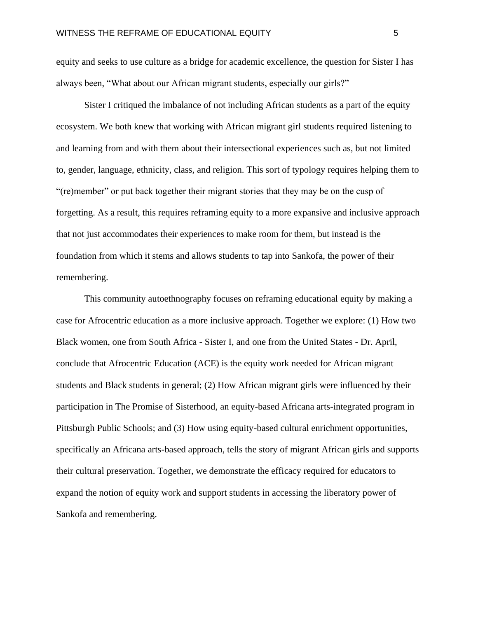equity and seeks to use culture as a bridge for academic excellence, the question for Sister I has always been, "What about our African migrant students, especially our girls?"

Sister I critiqued the imbalance of not including African students as a part of the equity ecosystem. We both knew that working with African migrant girl students required listening to and learning from and with them about their intersectional experiences such as, but not limited to, gender, language, ethnicity, class, and religion. This sort of typology requires helping them to "(re)member" or put back together their migrant stories that they may be on the cusp of forgetting. As a result, this requires reframing equity to a more expansive and inclusive approach that not just accommodates their experiences to make room for them, but instead is the foundation from which it stems and allows students to tap into Sankofa, the power of their remembering.

This community autoethnography focuses on reframing educational equity by making a case for Afrocentric education as a more inclusive approach. Together we explore: (1) How two Black women, one from South Africa - Sister I, and one from the United States - Dr. April, conclude that Afrocentric Education (ACE) is the equity work needed for African migrant students and Black students in general; (2) How African migrant girls were influenced by their participation in The Promise of Sisterhood, an equity-based Africana arts-integrated program in Pittsburgh Public Schools; and (3) How using equity-based cultural enrichment opportunities, specifically an Africana arts-based approach, tells the story of migrant African girls and supports their cultural preservation. Together, we demonstrate the efficacy required for educators to expand the notion of equity work and support students in accessing the liberatory power of Sankofa and remembering.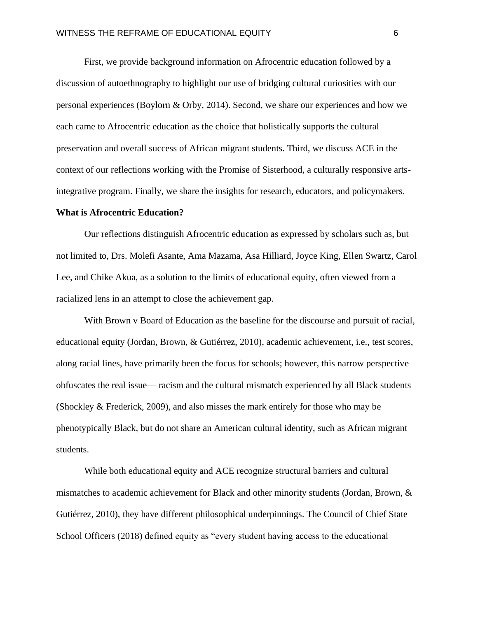First, we provide background information on Afrocentric education followed by a discussion of autoethnography to highlight our use of bridging cultural curiosities with our personal experiences (Boylorn & Orby, 2014). Second, we share our experiences and how we each came to Afrocentric education as the choice that holistically supports the cultural preservation and overall success of African migrant students. Third, we discuss ACE in the context of our reflections working with the Promise of Sisterhood, a culturally responsive artsintegrative program. Finally, we share the insights for research, educators, and policymakers.

#### **What is Afrocentric Education?**

Our reflections distinguish Afrocentric education as expressed by scholars such as, but not limited to, Drs. Molefi Asante, Ama Mazama, Asa Hilliard, Joyce King, Ellen Swartz, Carol Lee, and Chike Akua, as a solution to the limits of educational equity, often viewed from a racialized lens in an attempt to close the achievement gap.

With Brown v Board of Education as the baseline for the discourse and pursuit of racial, educational equity (Jordan, Brown, & Gutiérrez, 2010), academic achievement, i.e., test scores, along racial lines, have primarily been the focus for schools; however, this narrow perspective obfuscates the real issue— racism and the cultural mismatch experienced by all Black students (Shockley & Frederick, 2009), and also misses the mark entirely for those who may be phenotypically Black, but do not share an American cultural identity, such as African migrant students.

While both educational equity and ACE recognize structural barriers and cultural mismatches to academic achievement for Black and other minority students (Jordan, Brown, & Gutiérrez, 2010), they have different philosophical underpinnings. The Council of Chief State School Officers (2018) defined equity as "every student having access to the educational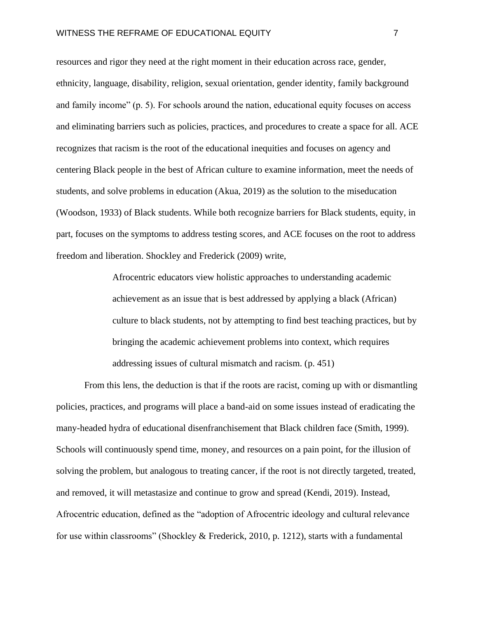resources and rigor they need at the right moment in their education across race, gender, ethnicity, language, disability, religion, sexual orientation, gender identity, family background and family income" (p. 5). For schools around the nation, educational equity focuses on access and eliminating barriers such as policies, practices, and procedures to create a space for all. ACE recognizes that racism is the root of the educational inequities and focuses on agency and centering Black people in the best of African culture to examine information, meet the needs of students, and solve problems in education (Akua, 2019) as the solution to the miseducation (Woodson, 1933) of Black students. While both recognize barriers for Black students, equity, in part, focuses on the symptoms to address testing scores, and ACE focuses on the root to address freedom and liberation. Shockley and Frederick (2009) write,

> Afrocentric educators view holistic approaches to understanding academic achievement as an issue that is best addressed by applying a black (African) culture to black students, not by attempting to find best teaching practices, but by bringing the academic achievement problems into context, which requires addressing issues of cultural mismatch and racism. (p. 451)

From this lens, the deduction is that if the roots are racist, coming up with or dismantling policies, practices, and programs will place a band-aid on some issues instead of eradicating the many-headed hydra of educational disenfranchisement that Black children face (Smith, 1999). Schools will continuously spend time, money, and resources on a pain point, for the illusion of solving the problem, but analogous to treating cancer, if the root is not directly targeted, treated, and removed, it will metastasize and continue to grow and spread (Kendi, 2019). Instead, Afrocentric education, defined as the "adoption of Afrocentric ideology and cultural relevance for use within classrooms" (Shockley & Frederick, 2010, p. 1212), starts with a fundamental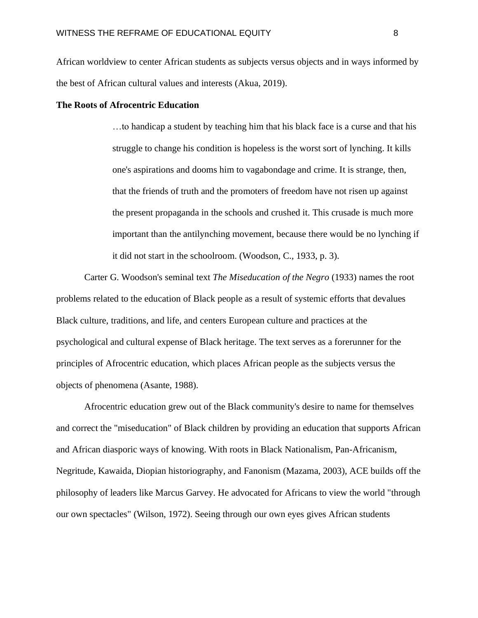African worldview to center African students as subjects versus objects and in ways informed by the best of African cultural values and interests (Akua, 2019).

#### **The Roots of Afrocentric Education**

…to handicap a student by teaching him that his black face is a curse and that his struggle to change his condition is hopeless is the worst sort of lynching. It kills one's aspirations and dooms him to vagabondage and crime. It is strange, then, that the friends of truth and the promoters of freedom have not risen up against the present propaganda in the schools and crushed it. This crusade is much more important than the antilynching movement, because there would be no lynching if it did not start in the schoolroom. (Woodson, C., 1933, p. 3).

Carter G. Woodson's seminal text *The Miseducation of the Negro* (1933) names the root problems related to the education of Black people as a result of systemic efforts that devalues Black culture, traditions, and life, and centers European culture and practices at the psychological and cultural expense of Black heritage. The text serves as a forerunner for the principles of Afrocentric education, which places African people as the subjects versus the objects of phenomena (Asante, 1988).

Afrocentric education grew out of the Black community's desire to name for themselves and correct the "miseducation" of Black children by providing an education that supports African and African diasporic ways of knowing. With roots in Black Nationalism, Pan-Africanism, Negritude, Kawaida, Diopian historiography, and Fanonism (Mazama, 2003), ACE builds off the philosophy of leaders like Marcus Garvey. He advocated for Africans to view the world "through our own spectacles" (Wilson, 1972). Seeing through our own eyes gives African students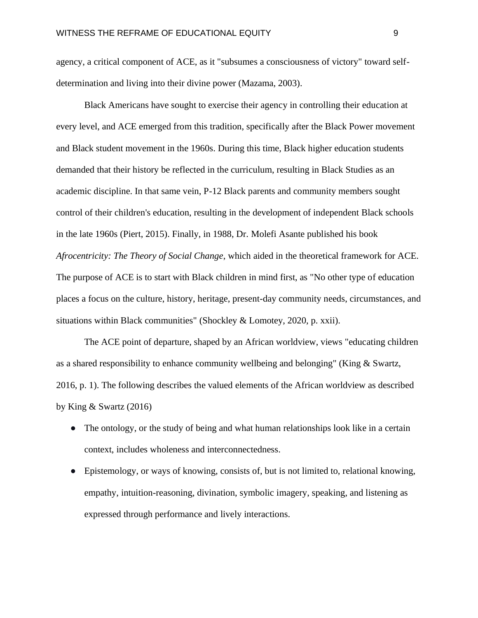agency, a critical component of ACE, as it "subsumes a consciousness of victory" toward selfdetermination and living into their divine power (Mazama, 2003).

Black Americans have sought to exercise their agency in controlling their education at every level, and ACE emerged from this tradition, specifically after the Black Power movement and Black student movement in the 1960s. During this time, Black higher education students demanded that their history be reflected in the curriculum, resulting in Black Studies as an academic discipline. In that same vein, P-12 Black parents and community members sought control of their children's education, resulting in the development of independent Black schools in the late 1960s (Piert, 2015). Finally, in 1988, Dr. Molefi Asante published his book *Afrocentricity: The Theory of Social Change*, which aided in the theoretical framework for ACE. The purpose of ACE is to start with Black children in mind first, as "No other type of education places a focus on the culture, history, heritage, present-day community needs, circumstances, and situations within Black communities" (Shockley & Lomotey, 2020, p. xxii).

The ACE point of departure, shaped by an African worldview, views "educating children as a shared responsibility to enhance community wellbeing and belonging" (King & Swartz, 2016, p. 1). The following describes the valued elements of the African worldview as described by King & Swartz (2016)

- The ontology, or the study of being and what human relationships look like in a certain context, includes wholeness and interconnectedness.
- Epistemology, or ways of knowing, consists of, but is not limited to, relational knowing, empathy, intuition-reasoning, divination, symbolic imagery, speaking, and listening as expressed through performance and lively interactions.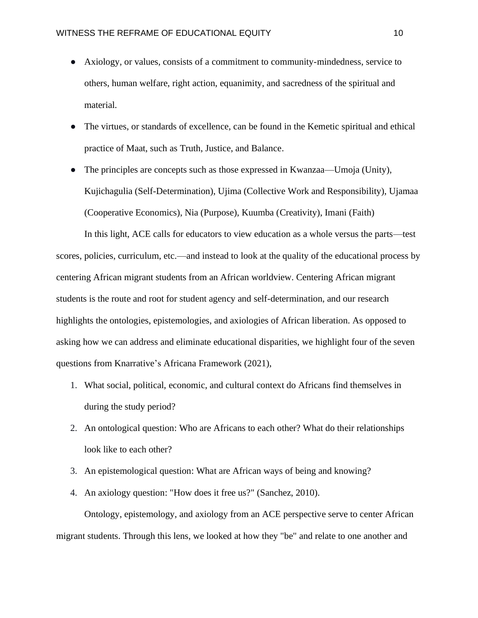- Axiology, or values, consists of a commitment to community-mindedness, service to others, human welfare, right action, equanimity, and sacredness of the spiritual and material.
- The virtues, or standards of excellence, can be found in the Kemetic spiritual and ethical practice of Maat, such as Truth, Justice, and Balance.
- The principles are concepts such as those expressed in Kwanzaa—Umoja (Unity), Kujichagulia (Self-Determination), Ujima (Collective Work and Responsibility), Ujamaa (Cooperative Economics), Nia (Purpose), Kuumba (Creativity), Imani (Faith)

In this light, ACE calls for educators to view education as a whole versus the parts—test scores, policies, curriculum, etc.—and instead to look at the quality of the educational process by centering African migrant students from an African worldview. Centering African migrant students is the route and root for student agency and self-determination, and our research highlights the ontologies, epistemologies, and axiologies of African liberation. As opposed to asking how we can address and eliminate educational disparities, we highlight four of the seven questions from Knarrative's Africana Framework (2021),

- 1. What social, political, economic, and cultural context do Africans find themselves in during the study period?
- 2. An ontological question: Who are Africans to each other? What do their relationships look like to each other?
- 3. An epistemological question: What are African ways of being and knowing?
- 4. An axiology question: "How does it free us?" (Sanchez, 2010).

Ontology, epistemology, and axiology from an ACE perspective serve to center African migrant students. Through this lens, we looked at how they "be" and relate to one another and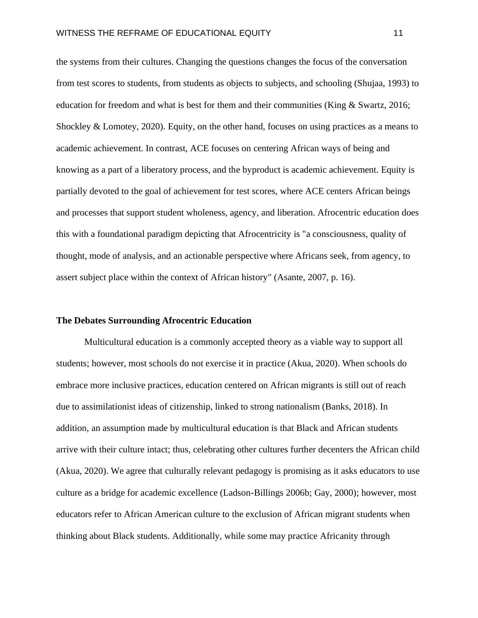the systems from their cultures. Changing the questions changes the focus of the conversation from test scores to students, from students as objects to subjects, and schooling (Shujaa, 1993) to education for freedom and what is best for them and their communities (King & Swartz, 2016; Shockley & Lomotey, 2020). Equity, on the other hand, focuses on using practices as a means to academic achievement. In contrast, ACE focuses on centering African ways of being and knowing as a part of a liberatory process, and the byproduct is academic achievement. Equity is partially devoted to the goal of achievement for test scores, where ACE centers African beings and processes that support student wholeness, agency, and liberation. Afrocentric education does this with a foundational paradigm depicting that Afrocentricity is "a consciousness, quality of thought, mode of analysis, and an actionable perspective where Africans seek, from agency, to assert subject place within the context of African history" (Asante, 2007, p. 16).

#### **The Debates Surrounding Afrocentric Education**

Multicultural education is a commonly accepted theory as a viable way to support all students; however, most schools do not exercise it in practice (Akua, 2020). When schools do embrace more inclusive practices, education centered on African migrants is still out of reach due to assimilationist ideas of citizenship, linked to strong nationalism (Banks, 2018). In addition, an assumption made by multicultural education is that Black and African students arrive with their culture intact; thus, celebrating other cultures further decenters the African child (Akua, 2020). We agree that culturally relevant pedagogy is promising as it asks educators to use culture as a bridge for academic excellence (Ladson-Billings 2006b; Gay, 2000); however, most educators refer to African American culture to the exclusion of African migrant students when thinking about Black students. Additionally, while some may practice Africanity through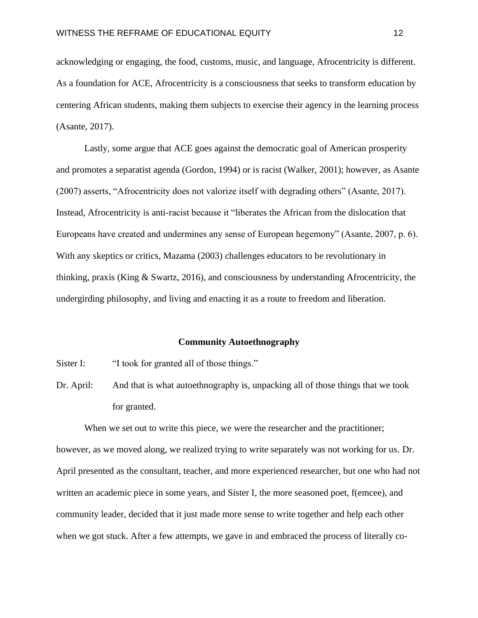acknowledging or engaging, the food, customs, music, and language, Afrocentricity is different. As a foundation for ACE, Afrocentricity is a consciousness that seeks to transform education by centering African students, making them subjects to exercise their agency in the learning process (Asante, 2017).

Lastly, some argue that ACE goes against the democratic goal of American prosperity and promotes a separatist agenda (Gordon, 1994) or is racist (Walker, 2001); however, as Asante (2007) asserts, "Afrocentricity does not valorize itself with degrading others" (Asante, 2017). Instead, Afrocentricity is anti-racist because it "liberates the African from the dislocation that Europeans have created and undermines any sense of European hegemony" (Asante, 2007, p. 6). With any skeptics or critics, Mazama (2003) challenges educators to be revolutionary in thinking, praxis (King  $\&$  Swartz, 2016), and consciousness by understanding Afrocentricity, the undergirding philosophy, and living and enacting it as a route to freedom and liberation.

#### **Community Autoethnography**

Sister I: "I took for granted all of those things."

Dr. April: And that is what autoethnography is, unpacking all of those things that we took for granted.

When we set out to write this piece, we were the researcher and the practitioner; however, as we moved along, we realized trying to write separately was not working for us. Dr. April presented as the consultant, teacher, and more experienced researcher, but one who had not written an academic piece in some years, and Sister I, the more seasoned poet, f(emcee), and community leader, decided that it just made more sense to write together and help each other when we got stuck. After a few attempts, we gave in and embraced the process of literally co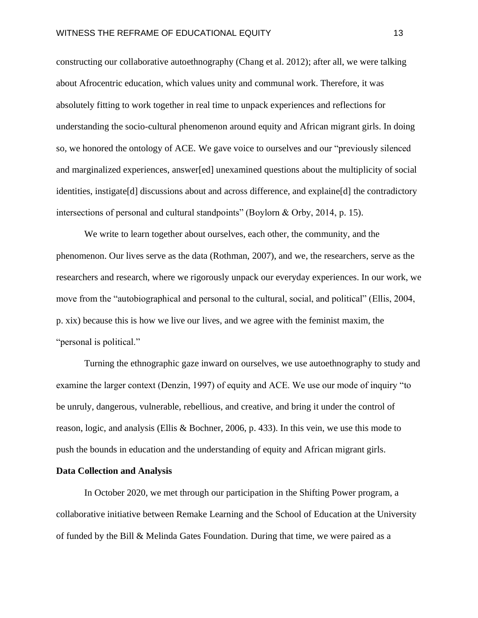constructing our collaborative autoethnography (Chang et al. 2012); after all, we were talking about Afrocentric education, which values unity and communal work. Therefore, it was absolutely fitting to work together in real time to unpack experiences and reflections for understanding the socio-cultural phenomenon around equity and African migrant girls. In doing so, we honored the ontology of ACE. We gave voice to ourselves and our "previously silenced and marginalized experiences, answer[ed] unexamined questions about the multiplicity of social identities, instigate[d] discussions about and across difference, and explaine[d] the contradictory intersections of personal and cultural standpoints" (Boylorn & Orby, 2014, p. 15).

We write to learn together about ourselves, each other, the community, and the phenomenon. Our lives serve as the data (Rothman, 2007), and we, the researchers, serve as the researchers and research, where we rigorously unpack our everyday experiences. In our work, we move from the "autobiographical and personal to the cultural, social, and political" (Ellis, 2004, p. xix) because this is how we live our lives, and we agree with the feminist maxim, the "personal is political."

Turning the ethnographic gaze inward on ourselves, we use autoethnography to study and examine the larger context (Denzin, 1997) of equity and ACE. We use our mode of inquiry "to be unruly, dangerous, vulnerable, rebellious, and creative, and bring it under the control of reason, logic, and analysis (Ellis & Bochner, 2006, p. 433). In this vein, we use this mode to push the bounds in education and the understanding of equity and African migrant girls.

#### **Data Collection and Analysis**

In October 2020, we met through our participation in the Shifting Power program, a collaborative initiative between Remake Learning and the School of Education at the University of funded by the Bill & Melinda Gates Foundation. During that time, we were paired as a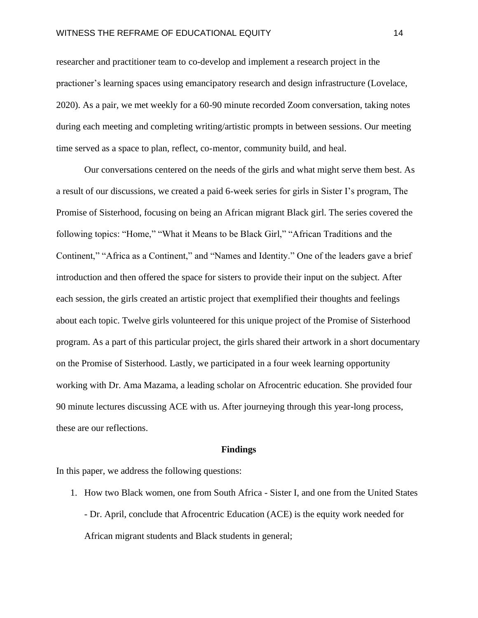researcher and practitioner team to co-develop and implement a research project in the practioner's learning spaces using emancipatory research and design infrastructure (Lovelace, 2020). As a pair, we met weekly for a 60-90 minute recorded Zoom conversation, taking notes during each meeting and completing writing/artistic prompts in between sessions. Our meeting time served as a space to plan, reflect, co-mentor, community build, and heal.

Our conversations centered on the needs of the girls and what might serve them best. As a result of our discussions, we created a paid 6-week series for girls in Sister I's program, The Promise of Sisterhood, focusing on being an African migrant Black girl. The series covered the following topics: "Home," "What it Means to be Black Girl," "African Traditions and the Continent," "Africa as a Continent," and "Names and Identity." One of the leaders gave a brief introduction and then offered the space for sisters to provide their input on the subject. After each session, the girls created an artistic project that exemplified their thoughts and feelings about each topic. Twelve girls volunteered for this unique project of the Promise of Sisterhood program. As a part of this particular project, the girls shared their artwork in a short documentary on the Promise of Sisterhood. Lastly, we participated in a four week learning opportunity working with Dr. Ama Mazama, a leading scholar on Afrocentric education. She provided four 90 minute lectures discussing ACE with us. After journeying through this year-long process, these are our reflections.

#### **Findings**

In this paper, we address the following questions:

1. How two Black women, one from South Africa - Sister I, and one from the United States - Dr. April, conclude that Afrocentric Education (ACE) is the equity work needed for African migrant students and Black students in general;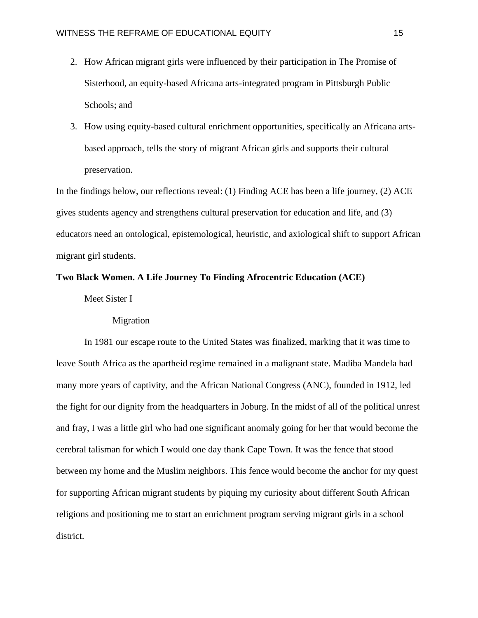- 2. How African migrant girls were influenced by their participation in The Promise of Sisterhood, an equity-based Africana arts-integrated program in Pittsburgh Public Schools; and
- 3. How using equity-based cultural enrichment opportunities, specifically an Africana artsbased approach, tells the story of migrant African girls and supports their cultural preservation.

In the findings below, our reflections reveal: (1) Finding ACE has been a life journey, (2) ACE gives students agency and strengthens cultural preservation for education and life, and (3) educators need an ontological, epistemological, heuristic, and axiological shift to support African migrant girl students.

# **Two Black Women. A Life Journey To Finding Afrocentric Education (ACE)**

Meet Sister I

Migration

In 1981 our escape route to the United States was finalized, marking that it was time to leave South Africa as the apartheid regime remained in a malignant state. Madiba Mandela had many more years of captivity, and the African National Congress (ANC), founded in 1912, led the fight for our dignity from the headquarters in Joburg. In the midst of all of the political unrest and fray, I was a little girl who had one significant anomaly going for her that would become the cerebral talisman for which I would one day thank Cape Town. It was the fence that stood between my home and the Muslim neighbors. This fence would become the anchor for my quest for supporting African migrant students by piquing my curiosity about different South African religions and positioning me to start an enrichment program serving migrant girls in a school district.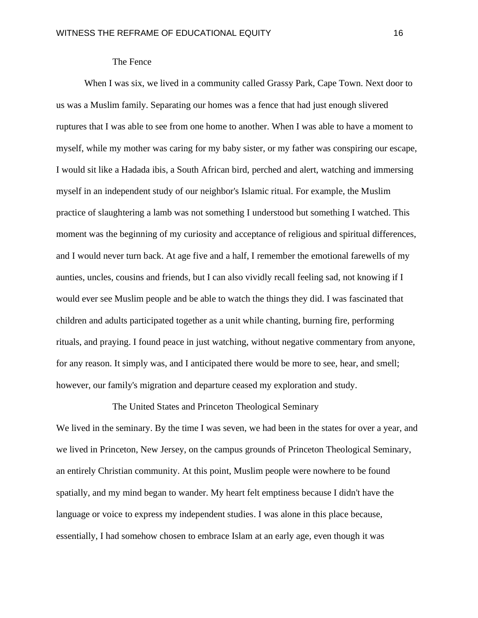# The Fence

When I was six, we lived in a community called Grassy Park, Cape Town. Next door to us was a Muslim family. Separating our homes was a fence that had just enough slivered ruptures that I was able to see from one home to another. When I was able to have a moment to myself, while my mother was caring for my baby sister, or my father was conspiring our escape, I would sit like a Hadada ibis, a South African bird, perched and alert, watching and immersing myself in an independent study of our neighbor's Islamic ritual. For example, the Muslim practice of slaughtering a lamb was not something I understood but something I watched. This moment was the beginning of my curiosity and acceptance of religious and spiritual differences, and I would never turn back. At age five and a half, I remember the emotional farewells of my aunties, uncles, cousins and friends, but I can also vividly recall feeling sad, not knowing if I would ever see Muslim people and be able to watch the things they did. I was fascinated that children and adults participated together as a unit while chanting, burning fire, performing rituals, and praying. I found peace in just watching, without negative commentary from anyone, for any reason. It simply was, and I anticipated there would be more to see, hear, and smell; however, our family's migration and departure ceased my exploration and study.

# The United States and Princeton Theological Seminary

We lived in the seminary. By the time I was seven, we had been in the states for over a year, and we lived in Princeton, New Jersey, on the campus grounds of Princeton Theological Seminary, an entirely Christian community. At this point, Muslim people were nowhere to be found spatially, and my mind began to wander. My heart felt emptiness because I didn't have the language or voice to express my independent studies. I was alone in this place because, essentially, I had somehow chosen to embrace Islam at an early age, even though it was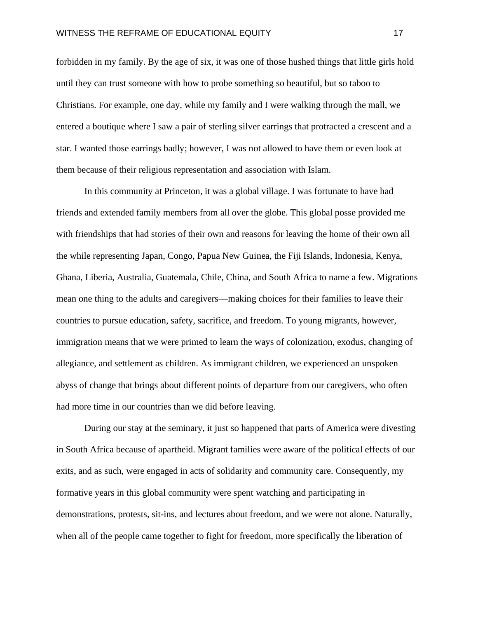forbidden in my family. By the age of six, it was one of those hushed things that little girls hold until they can trust someone with how to probe something so beautiful, but so taboo to Christians. For example, one day, while my family and I were walking through the mall, we entered a boutique where I saw a pair of sterling silver earrings that protracted a crescent and a star. I wanted those earrings badly; however, I was not allowed to have them or even look at them because of their religious representation and association with Islam.

In this community at Princeton, it was a global village. I was fortunate to have had friends and extended family members from all over the globe. This global posse provided me with friendships that had stories of their own and reasons for leaving the home of their own all the while representing Japan, Congo, Papua New Guinea, the Fiji Islands, Indonesia, Kenya, Ghana, Liberia, Australia, Guatemala, Chile, China, and South Africa to name a few. Migrations mean one thing to the adults and caregivers—making choices for their families to leave their countries to pursue education, safety, sacrifice, and freedom. To young migrants, however, immigration means that we were primed to learn the ways of colonization, exodus, changing of allegiance, and settlement as children. As immigrant children, we experienced an unspoken abyss of change that brings about different points of departure from our caregivers, who often had more time in our countries than we did before leaving.

During our stay at the seminary, it just so happened that parts of America were divesting in South Africa because of apartheid. Migrant families were aware of the political effects of our exits, and as such, were engaged in acts of solidarity and community care. Consequently, my formative years in this global community were spent watching and participating in demonstrations, protests, sit-ins, and lectures about freedom, and we were not alone. Naturally, when all of the people came together to fight for freedom, more specifically the liberation of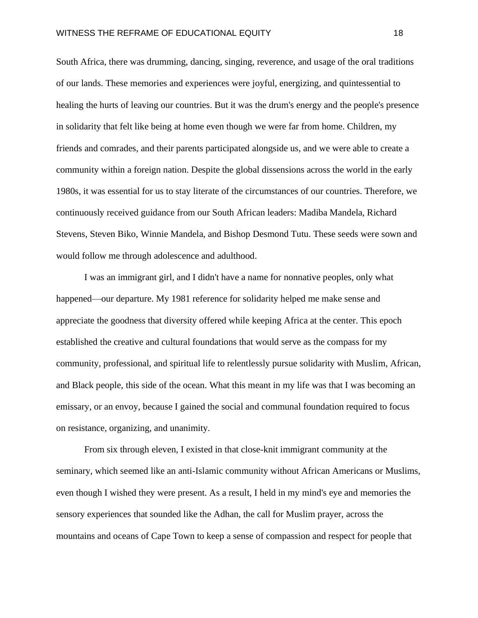South Africa, there was drumming, dancing, singing, reverence, and usage of the oral traditions of our lands. These memories and experiences were joyful, energizing, and quintessential to healing the hurts of leaving our countries. But it was the drum's energy and the people's presence in solidarity that felt like being at home even though we were far from home. Children, my friends and comrades, and their parents participated alongside us, and we were able to create a community within a foreign nation. Despite the global dissensions across the world in the early 1980s, it was essential for us to stay literate of the circumstances of our countries. Therefore, we continuously received guidance from our South African leaders: Madiba Mandela, Richard Stevens, Steven Biko, Winnie Mandela, and Bishop Desmond Tutu. These seeds were sown and would follow me through adolescence and adulthood.

I was an immigrant girl, and I didn't have a name for nonnative peoples, only what happened—our departure. My 1981 reference for solidarity helped me make sense and appreciate the goodness that diversity offered while keeping Africa at the center. This epoch established the creative and cultural foundations that would serve as the compass for my community, professional, and spiritual life to relentlessly pursue solidarity with Muslim, African, and Black people, this side of the ocean. What this meant in my life was that I was becoming an emissary, or an envoy, because I gained the social and communal foundation required to focus on resistance, organizing, and unanimity.

From six through eleven, I existed in that close-knit immigrant community at the seminary, which seemed like an anti-Islamic community without African Americans or Muslims, even though I wished they were present. As a result, I held in my mind's eye and memories the sensory experiences that sounded like the Adhan, the call for Muslim prayer, across the mountains and oceans of Cape Town to keep a sense of compassion and respect for people that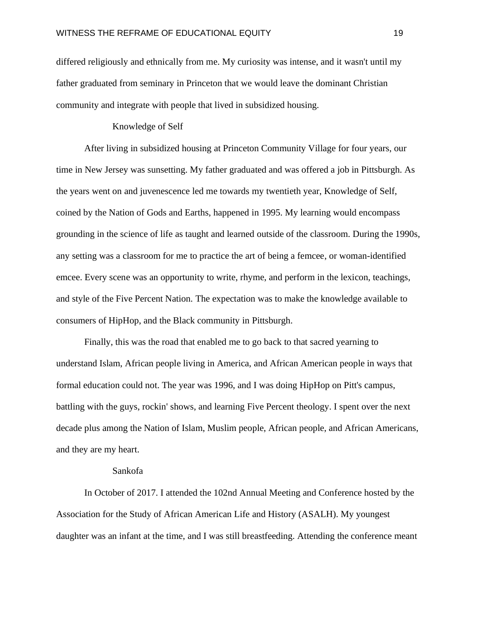differed religiously and ethnically from me. My curiosity was intense, and it wasn't until my father graduated from seminary in Princeton that we would leave the dominant Christian community and integrate with people that lived in subsidized housing.

#### Knowledge of Self

After living in subsidized housing at Princeton Community Village for four years, our time in New Jersey was sunsetting. My father graduated and was offered a job in Pittsburgh. As the years went on and juvenescence led me towards my twentieth year, Knowledge of Self, coined by the Nation of Gods and Earths, happened in 1995. My learning would encompass grounding in the science of life as taught and learned outside of the classroom. During the 1990s, any setting was a classroom for me to practice the art of being a femcee, or woman-identified emcee. Every scene was an opportunity to write, rhyme, and perform in the lexicon, teachings, and style of the Five Percent Nation. The expectation was to make the knowledge available to consumers of HipHop, and the Black community in Pittsburgh.

Finally, this was the road that enabled me to go back to that sacred yearning to understand Islam, African people living in America, and African American people in ways that formal education could not. The year was 1996, and I was doing HipHop on Pitt's campus, battling with the guys, rockin' shows, and learning Five Percent theology. I spent over the next decade plus among the Nation of Islam, Muslim people, African people, and African Americans, and they are my heart.

# Sankofa

In October of 2017. I attended the 102nd Annual Meeting and Conference hosted by the Association for the Study of African American Life and History (ASALH). My youngest daughter was an infant at the time, and I was still breastfeeding. Attending the conference meant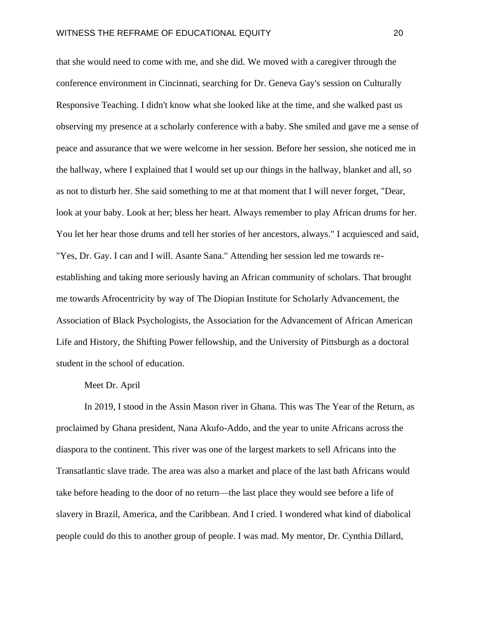that she would need to come with me, and she did. We moved with a caregiver through the conference environment in Cincinnati, searching for Dr. Geneva Gay's session on Culturally Responsive Teaching. I didn't know what she looked like at the time, and she walked past us observing my presence at a scholarly conference with a baby. She smiled and gave me a sense of peace and assurance that we were welcome in her session. Before her session, she noticed me in the hallway, where I explained that I would set up our things in the hallway, blanket and all, so as not to disturb her. She said something to me at that moment that I will never forget, "Dear, look at your baby. Look at her; bless her heart. Always remember to play African drums for her. You let her hear those drums and tell her stories of her ancestors, always." I acquiesced and said, "Yes, Dr. Gay. I can and I will. Asante Sana." Attending her session led me towards reestablishing and taking more seriously having an African community of scholars. That brought me towards Afrocentricity by way of The Diopian Institute for Scholarly Advancement, the Association of Black Psychologists, the Association for the Advancement of African American Life and History, the Shifting Power fellowship, and the University of Pittsburgh as a doctoral student in the school of education.

#### Meet Dr. April

In 2019, I stood in the Assin Mason river in Ghana. This was The Year of the Return, as proclaimed by Ghana president, Nana Akufo-Addo, and the year to unite Africans across the diaspora to the continent. This river was one of the largest markets to sell Africans into the Transatlantic slave trade. The area was also a market and place of the last bath Africans would take before heading to the door of no return—the last place they would see before a life of slavery in Brazil, America, and the Caribbean. And I cried. I wondered what kind of diabolical people could do this to another group of people. I was mad. My mentor, Dr. Cynthia Dillard,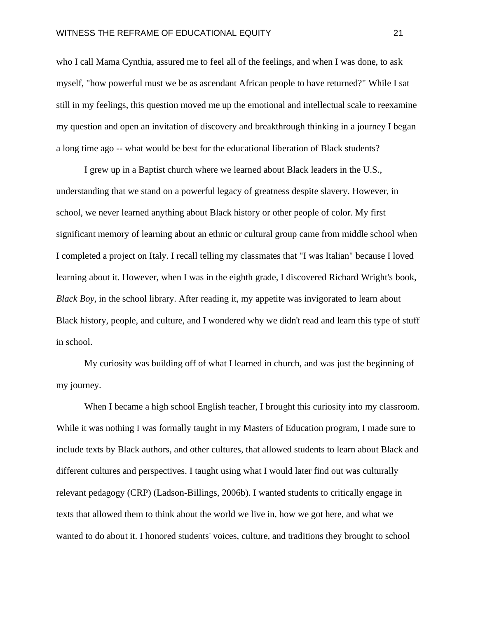who I call Mama Cynthia, assured me to feel all of the feelings, and when I was done, to ask myself, "how powerful must we be as ascendant African people to have returned?" While I sat still in my feelings, this question moved me up the emotional and intellectual scale to reexamine my question and open an invitation of discovery and breakthrough thinking in a journey I began a long time ago -- what would be best for the educational liberation of Black students?

I grew up in a Baptist church where we learned about Black leaders in the U.S., understanding that we stand on a powerful legacy of greatness despite slavery. However, in school, we never learned anything about Black history or other people of color. My first significant memory of learning about an ethnic or cultural group came from middle school when I completed a project on Italy. I recall telling my classmates that "I was Italian" because I loved learning about it. However, when I was in the eighth grade, I discovered Richard Wright's book, *Black Boy,* in the school library. After reading it, my appetite was invigorated to learn about Black history, people, and culture, and I wondered why we didn't read and learn this type of stuff in school.

My curiosity was building off of what I learned in church, and was just the beginning of my journey.

When I became a high school English teacher, I brought this curiosity into my classroom. While it was nothing I was formally taught in my Masters of Education program, I made sure to include texts by Black authors, and other cultures, that allowed students to learn about Black and different cultures and perspectives. I taught using what I would later find out was culturally relevant pedagogy (CRP) (Ladson-Billings, 2006b). I wanted students to critically engage in texts that allowed them to think about the world we live in, how we got here, and what we wanted to do about it. I honored students' voices, culture, and traditions they brought to school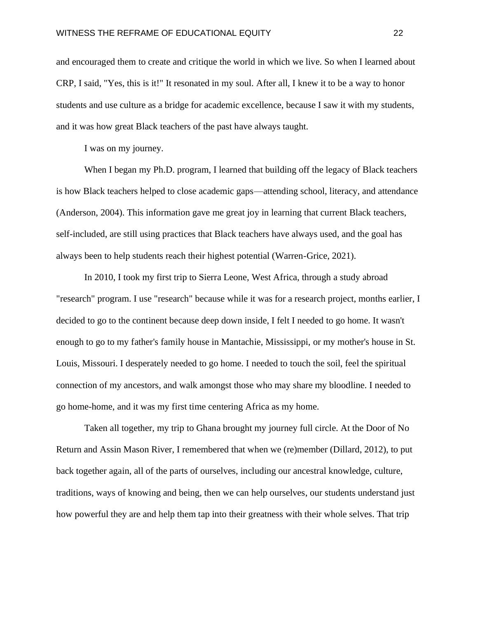and encouraged them to create and critique the world in which we live. So when I learned about CRP, I said, "Yes, this is it!" It resonated in my soul. After all, I knew it to be a way to honor students and use culture as a bridge for academic excellence, because I saw it with my students, and it was how great Black teachers of the past have always taught.

I was on my journey.

When I began my Ph.D. program, I learned that building off the legacy of Black teachers is how Black teachers helped to close academic gaps—attending school, literacy, and attendance (Anderson, 2004). This information gave me great joy in learning that current Black teachers, self-included, are still using practices that Black teachers have always used, and the goal has always been to help students reach their highest potential (Warren-Grice, 2021).

In 2010, I took my first trip to Sierra Leone, West Africa, through a study abroad "research" program. I use "research" because while it was for a research project, months earlier, I decided to go to the continent because deep down inside, I felt I needed to go home. It wasn't enough to go to my father's family house in Mantachie, Mississippi, or my mother's house in St. Louis, Missouri. I desperately needed to go home. I needed to touch the soil, feel the spiritual connection of my ancestors, and walk amongst those who may share my bloodline. I needed to go home-home, and it was my first time centering Africa as my home.

Taken all together, my trip to Ghana brought my journey full circle. At the Door of No Return and Assin Mason River, I remembered that when we (re)member (Dillard, 2012), to put back together again, all of the parts of ourselves, including our ancestral knowledge, culture, traditions, ways of knowing and being, then we can help ourselves, our students understand just how powerful they are and help them tap into their greatness with their whole selves. That trip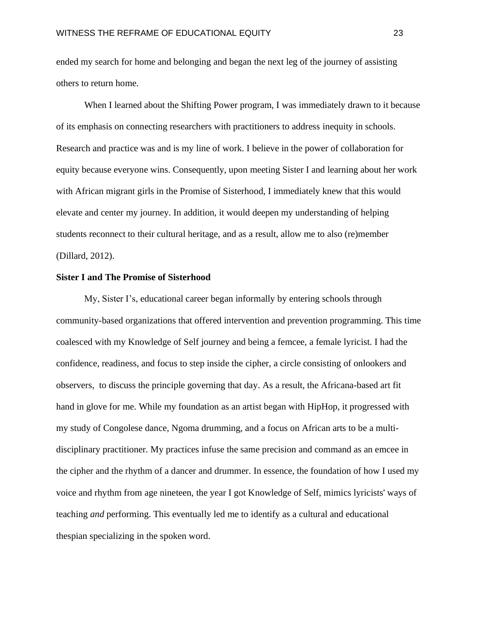ended my search for home and belonging and began the next leg of the journey of assisting others to return home.

When I learned about the Shifting Power program, I was immediately drawn to it because of its emphasis on connecting researchers with practitioners to address inequity in schools. Research and practice was and is my line of work. I believe in the power of collaboration for equity because everyone wins. Consequently, upon meeting Sister I and learning about her work with African migrant girls in the Promise of Sisterhood, I immediately knew that this would elevate and center my journey. In addition, it would deepen my understanding of helping students reconnect to their cultural heritage, and as a result, allow me to also (re)member (Dillard, 2012).

#### **Sister I and The Promise of Sisterhood**

My, Sister I's, educational career began informally by entering schools through community-based organizations that offered intervention and prevention programming. This time coalesced with my Knowledge of Self journey and being a femcee, a female lyricist. I had the confidence, readiness, and focus to step inside the cipher, a circle consisting of onlookers and observers, to discuss the principle governing that day. As a result, the Africana-based art fit hand in glove for me. While my foundation as an artist began with HipHop, it progressed with my study of Congolese dance, Ngoma drumming, and a focus on African arts to be a multidisciplinary practitioner. My practices infuse the same precision and command as an emcee in the cipher and the rhythm of a dancer and drummer. In essence, the foundation of how I used my voice and rhythm from age nineteen, the year I got Knowledge of Self, mimics lyricists' ways of teaching *and* performing. This eventually led me to identify as a cultural and educational thespian specializing in the spoken word.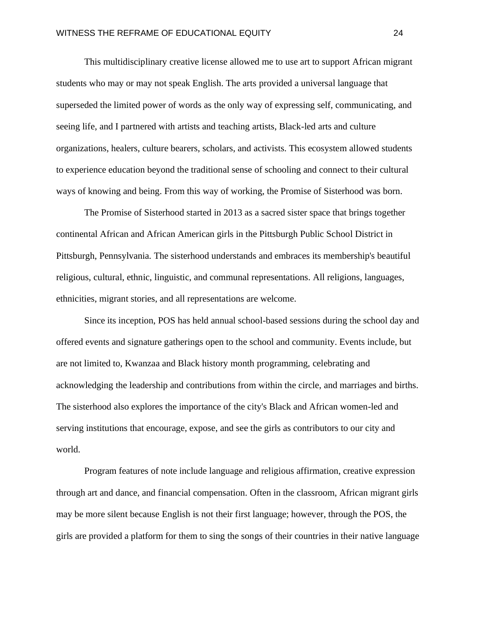This multidisciplinary creative license allowed me to use art to support African migrant students who may or may not speak English. The arts provided a universal language that superseded the limited power of words as the only way of expressing self, communicating, and seeing life, and I partnered with artists and teaching artists, Black-led arts and culture organizations, healers, culture bearers, scholars, and activists. This ecosystem allowed students to experience education beyond the traditional sense of schooling and connect to their cultural ways of knowing and being. From this way of working, the Promise of Sisterhood was born.

The Promise of Sisterhood started in 2013 as a sacred sister space that brings together continental African and African American girls in the Pittsburgh Public School District in Pittsburgh, Pennsylvania. The sisterhood understands and embraces its membership's beautiful religious, cultural, ethnic, linguistic, and communal representations. All religions, languages, ethnicities, migrant stories, and all representations are welcome.

Since its inception, POS has held annual school-based sessions during the school day and offered events and signature gatherings open to the school and community. Events include, but are not limited to, Kwanzaa and Black history month programming, celebrating and acknowledging the leadership and contributions from within the circle, and marriages and births. The sisterhood also explores the importance of the city's Black and African women-led and serving institutions that encourage, expose, and see the girls as contributors to our city and world.

Program features of note include language and religious affirmation, creative expression through art and dance, and financial compensation. Often in the classroom, African migrant girls may be more silent because English is not their first language; however, through the POS, the girls are provided a platform for them to sing the songs of their countries in their native language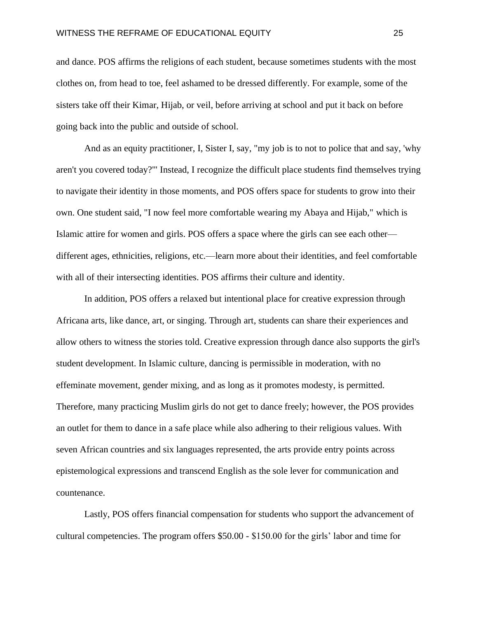and dance. POS affirms the religions of each student, because sometimes students with the most clothes on, from head to toe, feel ashamed to be dressed differently. For example, some of the sisters take off their Kimar, Hijab, or veil, before arriving at school and put it back on before going back into the public and outside of school.

And as an equity practitioner, I, Sister I, say, "my job is to not to police that and say, 'why aren't you covered today?'" Instead, I recognize the difficult place students find themselves trying to navigate their identity in those moments, and POS offers space for students to grow into their own. One student said, "I now feel more comfortable wearing my Abaya and Hijab," which is Islamic attire for women and girls. POS offers a space where the girls can see each other different ages, ethnicities, religions, etc.—learn more about their identities, and feel comfortable with all of their intersecting identities. POS affirms their culture and identity.

In addition, POS offers a relaxed but intentional place for creative expression through Africana arts, like dance, art, or singing. Through art, students can share their experiences and allow others to witness the stories told. Creative expression through dance also supports the girl's student development. In Islamic culture, dancing is permissible in moderation, with no effeminate movement, gender mixing, and as long as it promotes modesty, is permitted. Therefore, many practicing Muslim girls do not get to dance freely; however, the POS provides an outlet for them to dance in a safe place while also adhering to their religious values. With seven African countries and six languages represented, the arts provide entry points across epistemological expressions and transcend English as the sole lever for communication and countenance.

Lastly, POS offers financial compensation for students who support the advancement of cultural competencies. The program offers \$50.00 - \$150.00 for the girls' labor and time for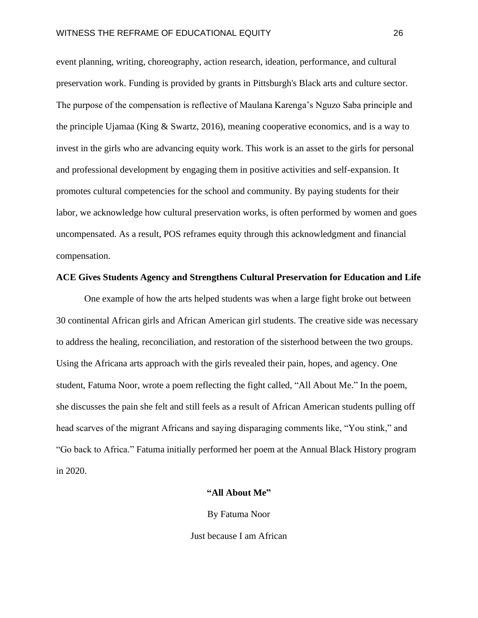event planning, writing, choreography, action research, ideation, performance, and cultural preservation work. Funding is provided by grants in Pittsburgh's Black arts and culture sector. The purpose of the compensation is reflective of Maulana Karenga's Nguzo Saba principle and the principle Ujamaa (King & Swartz, 2016), meaning cooperative economics, and is a way to invest in the girls who are advancing equity work. This work is an asset to the girls for personal and professional development by engaging them in positive activities and self-expansion. It promotes cultural competencies for the school and community. By paying students for their labor, we acknowledge how cultural preservation works, is often performed by women and goes uncompensated. As a result, POS reframes equity through this acknowledgment and financial compensation.

# **ACE Gives Students Agency and Strengthens Cultural Preservation for Education and Life**

One example of how the arts helped students was when a large fight broke out between 30 continental African girls and African American girl students. The creative side was necessary to address the healing, reconciliation, and restoration of the sisterhood between the two groups. Using the Africana arts approach with the girls revealed their pain, hopes, and agency. One student, Fatuma Noor, wrote a poem reflecting the fight called, "All About Me." In the poem, she discusses the pain she felt and still feels as a result of African American students pulling off head scarves of the migrant Africans and saying disparaging comments like, "You stink," and "Go back to Africa." Fatuma initially performed her poem at the Annual Black History program in 2020.

# **"All About Me"**

By Fatuma Noor

Just because I am African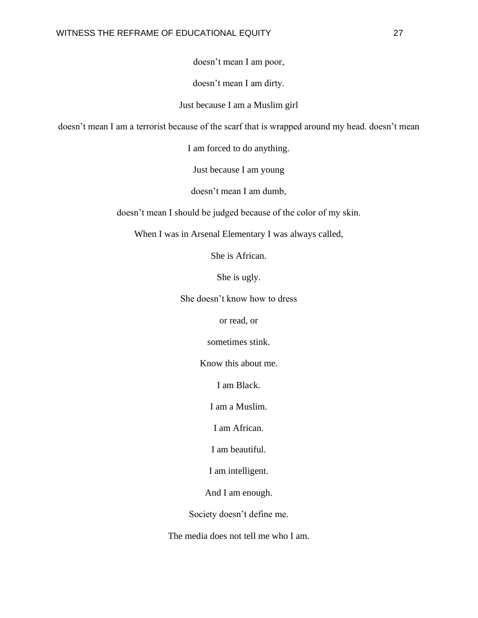doesn't mean I am poor,

doesn't mean I am dirty.

Just because I am a Muslim girl

doesn't mean I am a terrorist because of the scarf that is wrapped around my head. doesn't mean

I am forced to do anything.

Just because I am young

doesn't mean I am dumb,

doesn't mean I should be judged because of the color of my skin.

When I was in Arsenal Elementary I was always called,

She is African.

She is ugly.

She doesn't know how to dress

or read, or

sometimes stink.

Know this about me.

I am Black.

I am a Muslim.

I am African.

I am beautiful.

I am intelligent.

And I am enough.

Society doesn't define me.

The media does not tell me who I am.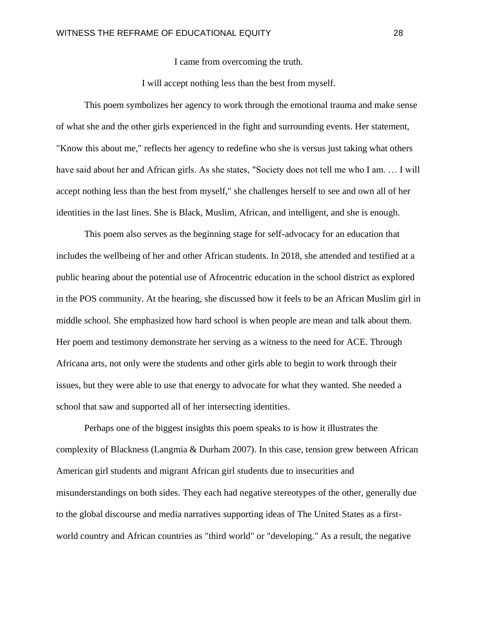I came from overcoming the truth.

I will accept nothing less than the best from myself.

This poem symbolizes her agency to work through the emotional trauma and make sense of what she and the other girls experienced in the fight and surrounding events. Her statement, "Know this about me," reflects her agency to redefine who she is versus just taking what others have said about her and African girls. As she states, "Society does not tell me who I am. ... I will accept nothing less than the best from myself," she challenges herself to see and own all of her identities in the last lines. She is Black, Muslim, African, and intelligent, and she is enough.

This poem also serves as the beginning stage for self-advocacy for an education that includes the wellbeing of her and other African students. In 2018, she attended and testified at a public hearing about the potential use of Afrocentric education in the school district as explored in the POS community. At the hearing, she discussed how it feels to be an African Muslim girl in middle school. She emphasized how hard school is when people are mean and talk about them. Her poem and testimony demonstrate her serving as a witness to the need for ACE. Through Africana arts, not only were the students and other girls able to begin to work through their issues, but they were able to use that energy to advocate for what they wanted. She needed a school that saw and supported all of her intersecting identities.

Perhaps one of the biggest insights this poem speaks to is how it illustrates the complexity of Blackness (Langmia & Durham 2007). In this case, tension grew between African American girl students and migrant African girl students due to insecurities and misunderstandings on both sides. They each had negative stereotypes of the other, generally due to the global discourse and media narratives supporting ideas of The United States as a firstworld country and African countries as "third world" or "developing." As a result, the negative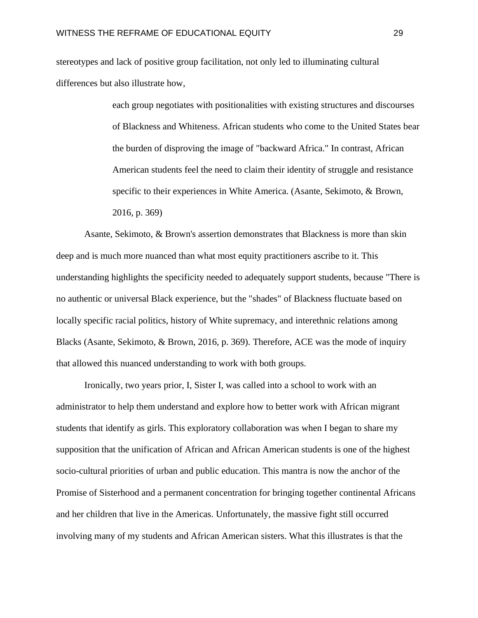stereotypes and lack of positive group facilitation, not only led to illuminating cultural differences but also illustrate how,

> each group negotiates with positionalities with existing structures and discourses of Blackness and Whiteness. African students who come to the United States bear the burden of disproving the image of "backward Africa." In contrast, African American students feel the need to claim their identity of struggle and resistance specific to their experiences in White America. (Asante, Sekimoto, & Brown, 2016, p. 369)

Asante, Sekimoto, & Brown's assertion demonstrates that Blackness is more than skin deep and is much more nuanced than what most equity practitioners ascribe to it. This understanding highlights the specificity needed to adequately support students, because "There is no authentic or universal Black experience, but the "shades" of Blackness fluctuate based on locally specific racial politics, history of White supremacy, and interethnic relations among Blacks (Asante, Sekimoto, & Brown, 2016, p. 369). Therefore, ACE was the mode of inquiry that allowed this nuanced understanding to work with both groups.

Ironically, two years prior, I, Sister I, was called into a school to work with an administrator to help them understand and explore how to better work with African migrant students that identify as girls. This exploratory collaboration was when I began to share my supposition that the unification of African and African American students is one of the highest socio-cultural priorities of urban and public education. This mantra is now the anchor of the Promise of Sisterhood and a permanent concentration for bringing together continental Africans and her children that live in the Americas. Unfortunately, the massive fight still occurred involving many of my students and African American sisters. What this illustrates is that the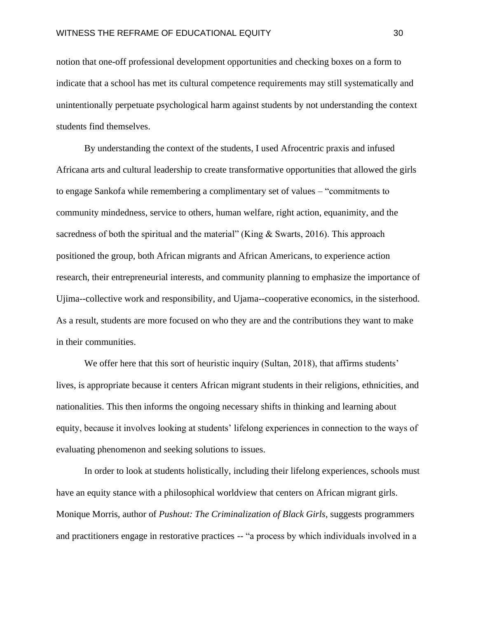notion that one-off professional development opportunities and checking boxes on a form to indicate that a school has met its cultural competence requirements may still systematically and unintentionally perpetuate psychological harm against students by not understanding the context students find themselves.

By understanding the context of the students, I used Afrocentric praxis and infused Africana arts and cultural leadership to create transformative opportunities that allowed the girls to engage Sankofa while remembering a complimentary set of values – "commitments to community mindedness, service to others, human welfare, right action, equanimity, and the sacredness of both the spiritual and the material" (King & Swarts, 2016). This approach positioned the group, both African migrants and African Americans, to experience action research, their entrepreneurial interests, and community planning to emphasize the importance of Ujima--collective work and responsibility, and Ujama--cooperative economics, in the sisterhood. As a result, students are more focused on who they are and the contributions they want to make in their communities.

We offer here that this sort of heuristic inquiry (Sultan, 2018), that affirms students' lives, is appropriate because it centers African migrant students in their religions, ethnicities, and nationalities. This then informs the ongoing necessary shifts in thinking and learning about equity, because it involves looking at students' lifelong experiences in connection to the ways of evaluating phenomenon and seeking solutions to issues.

In order to look at students holistically, including their lifelong experiences, schools must have an equity stance with a philosophical worldview that centers on African migrant girls. Monique Morris, author of *Pushout: The Criminalization of Black Girls*, suggests programmers and practitioners engage in restorative practices -- "a process by which individuals involved in a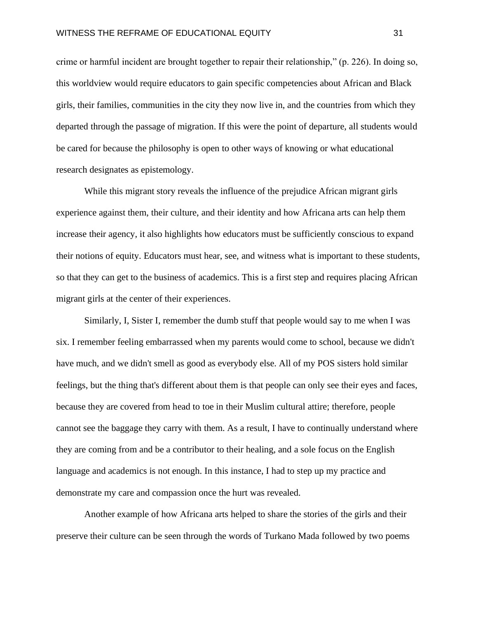crime or harmful incident are brought together to repair their relationship," (p. 226). In doing so, this worldview would require educators to gain specific competencies about African and Black girls, their families, communities in the city they now live in, and the countries from which they departed through the passage of migration. If this were the point of departure, all students would be cared for because the philosophy is open to other ways of knowing or what educational research designates as epistemology.

While this migrant story reveals the influence of the prejudice African migrant girls experience against them, their culture, and their identity and how Africana arts can help them increase their agency, it also highlights how educators must be sufficiently conscious to expand their notions of equity. Educators must hear, see, and witness what is important to these students, so that they can get to the business of academics. This is a first step and requires placing African migrant girls at the center of their experiences.

Similarly, I, Sister I, remember the dumb stuff that people would say to me when I was six. I remember feeling embarrassed when my parents would come to school, because we didn't have much, and we didn't smell as good as everybody else. All of my POS sisters hold similar feelings, but the thing that's different about them is that people can only see their eyes and faces, because they are covered from head to toe in their Muslim cultural attire; therefore, people cannot see the baggage they carry with them. As a result, I have to continually understand where they are coming from and be a contributor to their healing, and a sole focus on the English language and academics is not enough. In this instance, I had to step up my practice and demonstrate my care and compassion once the hurt was revealed.

Another example of how Africana arts helped to share the stories of the girls and their preserve their culture can be seen through the words of Turkano Mada followed by two poems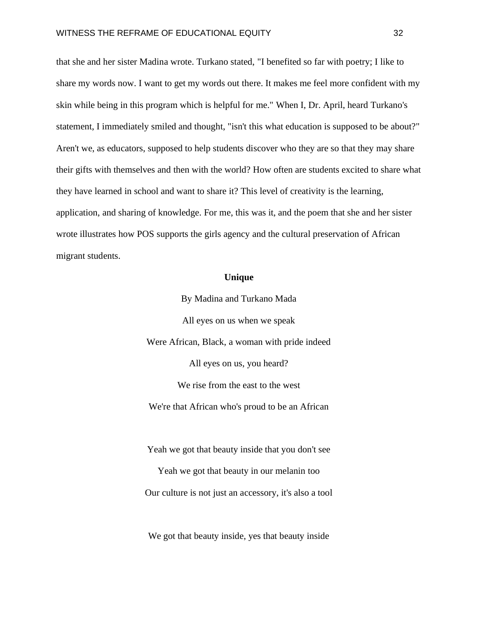that she and her sister Madina wrote. Turkano stated, "I benefited so far with poetry; I like to share my words now. I want to get my words out there. It makes me feel more confident with my skin while being in this program which is helpful for me." When I, Dr. April, heard Turkano's statement, I immediately smiled and thought, "isn't this what education is supposed to be about?" Aren't we, as educators, supposed to help students discover who they are so that they may share their gifts with themselves and then with the world? How often are students excited to share what they have learned in school and want to share it? This level of creativity is the learning, application, and sharing of knowledge. For me, this was it, and the poem that she and her sister wrote illustrates how POS supports the girls agency and the cultural preservation of African migrant students.

# **Unique**

By Madina and Turkano Mada All eyes on us when we speak Were African, Black, a woman with pride indeed All eyes on us, you heard? We rise from the east to the west We're that African who's proud to be an African

Yeah we got that beauty inside that you don't see Yeah we got that beauty in our melanin too Our culture is not just an accessory, it's also a tool

We got that beauty inside, yes that beauty inside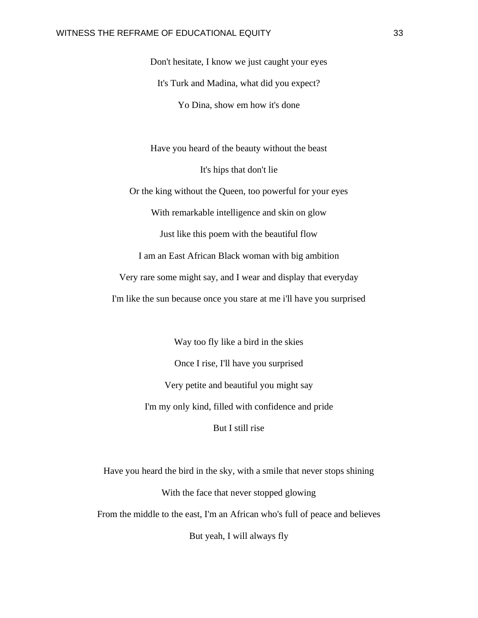Don't hesitate, I know we just caught your eyes It's Turk and Madina, what did you expect? Yo Dina, show em how it's done

Have you heard of the beauty without the beast It's hips that don't lie Or the king without the Queen, too powerful for your eyes With remarkable intelligence and skin on glow Just like this poem with the beautiful flow I am an East African Black woman with big ambition Very rare some might say, and I wear and display that everyday I'm like the sun because once you stare at me i'll have you surprised

> Way too fly like a bird in the skies Once I rise, I'll have you surprised Very petite and beautiful you might say I'm my only kind, filled with confidence and pride But I still rise

Have you heard the bird in the sky, with a smile that never stops shining With the face that never stopped glowing From the middle to the east, I'm an African who's full of peace and believes But yeah, I will always fly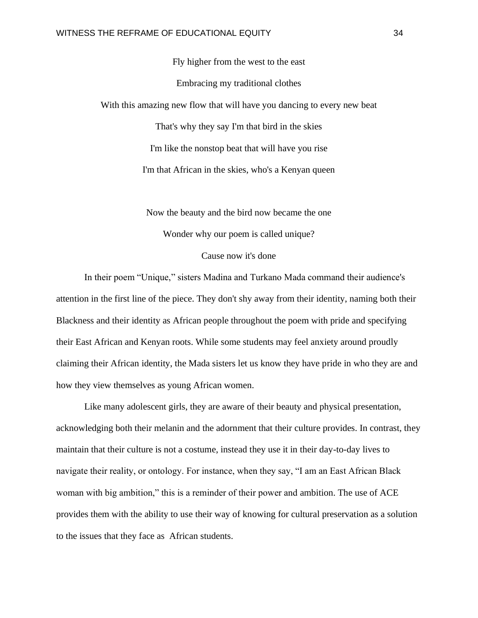Fly higher from the west to the east Embracing my traditional clothes With this amazing new flow that will have you dancing to every new beat That's why they say I'm that bird in the skies I'm like the nonstop beat that will have you rise I'm that African in the skies, who's a Kenyan queen

> Now the beauty and the bird now became the one Wonder why our poem is called unique?

# Cause now it's done

In their poem "Unique," sisters Madina and Turkano Mada command their audience's attention in the first line of the piece. They don't shy away from their identity, naming both their Blackness and their identity as African people throughout the poem with pride and specifying their East African and Kenyan roots. While some students may feel anxiety around proudly claiming their African identity, the Mada sisters let us know they have pride in who they are and how they view themselves as young African women.

Like many adolescent girls, they are aware of their beauty and physical presentation, acknowledging both their melanin and the adornment that their culture provides. In contrast, they maintain that their culture is not a costume, instead they use it in their day-to-day lives to navigate their reality, or ontology. For instance, when they say, "I am an East African Black woman with big ambition," this is a reminder of their power and ambition. The use of ACE provides them with the ability to use their way of knowing for cultural preservation as a solution to the issues that they face as African students.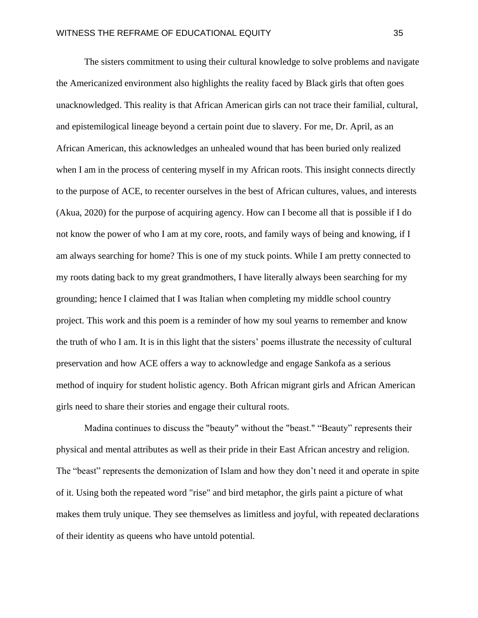The sisters commitment to using their cultural knowledge to solve problems and navigate the Americanized environment also highlights the reality faced by Black girls that often goes unacknowledged. This reality is that African American girls can not trace their familial, cultural, and epistemilogical lineage beyond a certain point due to slavery. For me, Dr. April, as an African American, this acknowledges an unhealed wound that has been buried only realized when I am in the process of centering myself in my African roots. This insight connects directly to the purpose of ACE, to recenter ourselves in the best of African cultures, values, and interests (Akua, 2020) for the purpose of acquiring agency. How can I become all that is possible if I do not know the power of who I am at my core, roots, and family ways of being and knowing, if I am always searching for home? This is one of my stuck points. While I am pretty connected to my roots dating back to my great grandmothers, I have literally always been searching for my grounding; hence I claimed that I was Italian when completing my middle school country project. This work and this poem is a reminder of how my soul yearns to remember and know the truth of who I am. It is in this light that the sisters' poems illustrate the necessity of cultural preservation and how ACE offers a way to acknowledge and engage Sankofa as a serious method of inquiry for student holistic agency. Both African migrant girls and African American girls need to share their stories and engage their cultural roots.

Madina continues to discuss the "beauty" without the "beast." "Beauty" represents their physical and mental attributes as well as their pride in their East African ancestry and religion. The "beast" represents the demonization of Islam and how they don't need it and operate in spite of it. Using both the repeated word "rise" and bird metaphor, the girls paint a picture of what makes them truly unique. They see themselves as limitless and joyful, with repeated declarations of their identity as queens who have untold potential.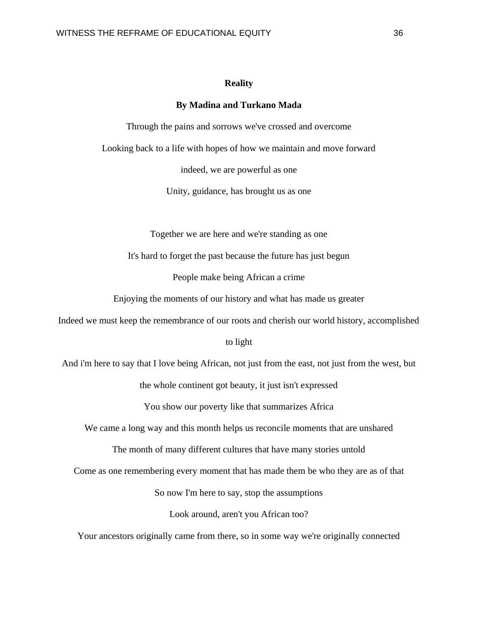## **Reality**

#### **By Madina and Turkano Mada**

Through the pains and sorrows we've crossed and overcome

Looking back to a life with hopes of how we maintain and move forward

indeed, we are powerful as one

Unity, guidance, has brought us as one

Together we are here and we're standing as one

It's hard to forget the past because the future has just begun

People make being African a crime

Enjoying the moments of our history and what has made us greater

Indeed we must keep the remembrance of our roots and cherish our world history, accomplished

#### to light

And i'm here to say that I love being African, not just from the east, not just from the west, but the whole continent got beauty, it just isn't expressed

You show our poverty like that summarizes Africa

We came a long way and this month helps us reconcile moments that are unshared

The month of many different cultures that have many stories untold

Come as one remembering every moment that has made them be who they are as of that

So now I'm here to say, stop the assumptions

Look around, aren't you African too?

Your ancestors originally came from there, so in some way we're originally connected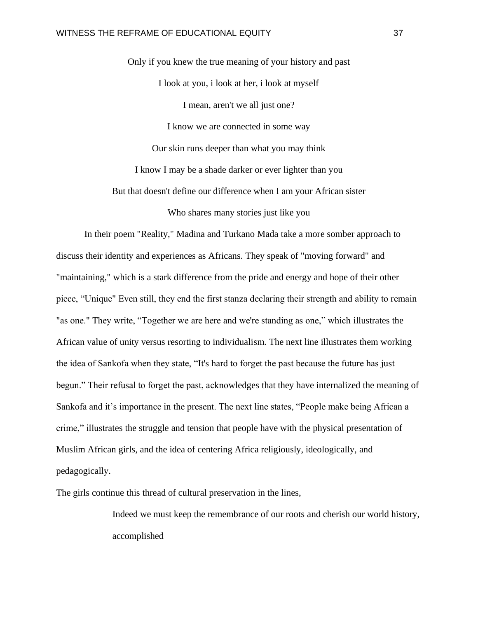Only if you knew the true meaning of your history and past I look at you, i look at her, i look at myself I mean, aren't we all just one? I know we are connected in some way Our skin runs deeper than what you may think I know I may be a shade darker or ever lighter than you But that doesn't define our difference when I am your African sister Who shares many stories just like you

In their poem "Reality," Madina and Turkano Mada take a more somber approach to discuss their identity and experiences as Africans. They speak of "moving forward" and "maintaining," which is a stark difference from the pride and energy and hope of their other piece, "Unique" Even still, they end the first stanza declaring their strength and ability to remain "as one." They write, "Together we are here and we're standing as one," which illustrates the African value of unity versus resorting to individualism. The next line illustrates them working the idea of Sankofa when they state, "It's hard to forget the past because the future has just begun." Their refusal to forget the past, acknowledges that they have internalized the meaning of Sankofa and it's importance in the present. The next line states, "People make being African a crime," illustrates the struggle and tension that people have with the physical presentation of Muslim African girls, and the idea of centering Africa religiously, ideologically, and pedagogically.

The girls continue this thread of cultural preservation in the lines,

Indeed we must keep the remembrance of our roots and cherish our world history, accomplished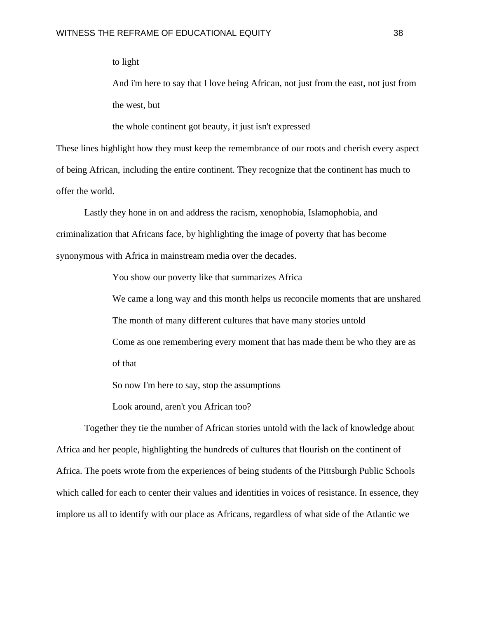to light

And i'm here to say that I love being African, not just from the east, not just from the west, but

the whole continent got beauty, it just isn't expressed

These lines highlight how they must keep the remembrance of our roots and cherish every aspect of being African, including the entire continent. They recognize that the continent has much to offer the world.

Lastly they hone in on and address the racism, xenophobia, Islamophobia, and criminalization that Africans face, by highlighting the image of poverty that has become synonymous with Africa in mainstream media over the decades.

You show our poverty like that summarizes Africa

We came a long way and this month helps us reconcile moments that are unshared The month of many different cultures that have many stories untold Come as one remembering every moment that has made them be who they are as of that

So now I'm here to say, stop the assumptions

Look around, aren't you African too?

Together they tie the number of African stories untold with the lack of knowledge about Africa and her people, highlighting the hundreds of cultures that flourish on the continent of Africa. The poets wrote from the experiences of being students of the Pittsburgh Public Schools which called for each to center their values and identities in voices of resistance. In essence, they implore us all to identify with our place as Africans, regardless of what side of the Atlantic we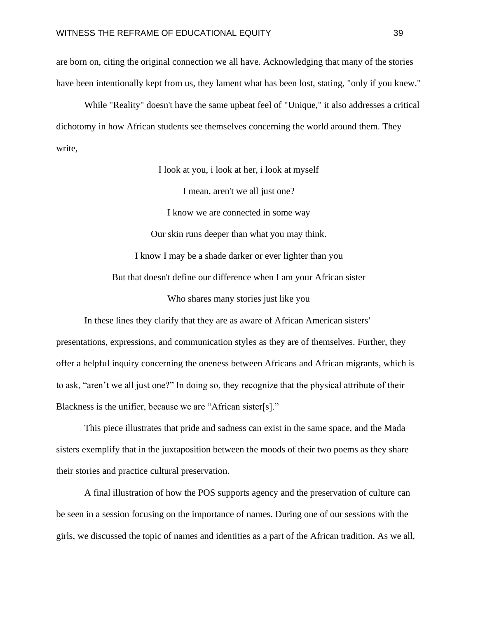are born on, citing the original connection we all have. Acknowledging that many of the stories have been intentionally kept from us, they lament what has been lost, stating, "only if you knew."

While "Reality" doesn't have the same upbeat feel of "Unique," it also addresses a critical dichotomy in how African students see themselves concerning the world around them. They write,

I look at you, i look at her, i look at myself

I mean, aren't we all just one?

I know we are connected in some way

Our skin runs deeper than what you may think. I know I may be a shade darker or ever lighter than you But that doesn't define our difference when I am your African sister

Who shares many stories just like you

In these lines they clarify that they are as aware of African American sisters' presentations, expressions, and communication styles as they are of themselves. Further, they offer a helpful inquiry concerning the oneness between Africans and African migrants, which is to ask, "aren't we all just one?" In doing so, they recognize that the physical attribute of their Blackness is the unifier, because we are "African sister[s]."

This piece illustrates that pride and sadness can exist in the same space, and the Mada sisters exemplify that in the juxtaposition between the moods of their two poems as they share their stories and practice cultural preservation.

A final illustration of how the POS supports agency and the preservation of culture can be seen in a session focusing on the importance of names. During one of our sessions with the girls, we discussed the topic of names and identities as a part of the African tradition. As we all,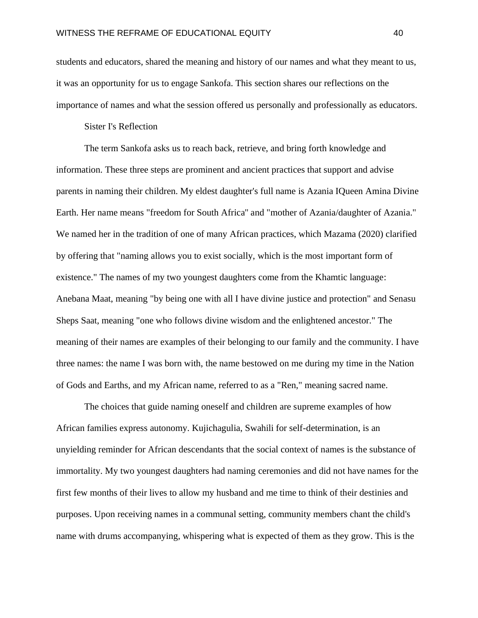students and educators, shared the meaning and history of our names and what they meant to us, it was an opportunity for us to engage Sankofa. This section shares our reflections on the importance of names and what the session offered us personally and professionally as educators.

# Sister I's Reflection

The term Sankofa asks us to reach back, retrieve, and bring forth knowledge and information. These three steps are prominent and ancient practices that support and advise parents in naming their children. My eldest daughter's full name is Azania IQueen Amina Divine Earth. Her name means "freedom for South Africa'' and "mother of Azania/daughter of Azania." We named her in the tradition of one of many African practices, which Mazama (2020) clarified by offering that "naming allows you to exist socially, which is the most important form of existence." The names of my two youngest daughters come from the Khamtic language: Anebana Maat, meaning "by being one with all I have divine justice and protection" and Senasu Sheps Saat, meaning "one who follows divine wisdom and the enlightened ancestor." The meaning of their names are examples of their belonging to our family and the community. I have three names: the name I was born with, the name bestowed on me during my time in the Nation of Gods and Earths, and my African name, referred to as a "Ren," meaning sacred name.

The choices that guide naming oneself and children are supreme examples of how African families express autonomy. Kujichagulia, Swahili for self-determination, is an unyielding reminder for African descendants that the social context of names is the substance of immortality. My two youngest daughters had naming ceremonies and did not have names for the first few months of their lives to allow my husband and me time to think of their destinies and purposes. Upon receiving names in a communal setting, community members chant the child's name with drums accompanying, whispering what is expected of them as they grow. This is the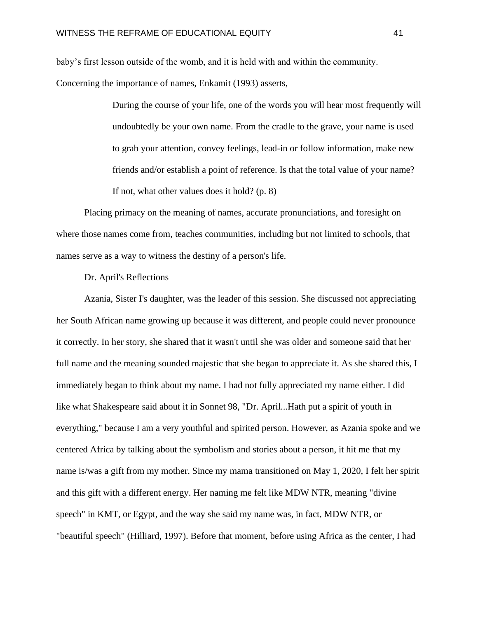baby's first lesson outside of the womb, and it is held with and within the community.

Concerning the importance of names, Enkamit (1993) asserts,

During the course of your life, one of the words you will hear most frequently will undoubtedly be your own name. From the cradle to the grave, your name is used to grab your attention, convey feelings, lead-in or follow information, make new friends and/or establish a point of reference. Is that the total value of your name? If not, what other values does it hold? (p. 8)

Placing primacy on the meaning of names, accurate pronunciations, and foresight on where those names come from, teaches communities, including but not limited to schools, that names serve as a way to witness the destiny of a person's life.

# Dr. April's Reflections

Azania, Sister I's daughter, was the leader of this session. She discussed not appreciating her South African name growing up because it was different, and people could never pronounce it correctly. In her story, she shared that it wasn't until she was older and someone said that her full name and the meaning sounded majestic that she began to appreciate it. As she shared this, I immediately began to think about my name. I had not fully appreciated my name either. I did like what Shakespeare said about it in Sonnet 98, "Dr. April...Hath put a spirit of youth in everything," because I am a very youthful and spirited person. However, as Azania spoke and we centered Africa by talking about the symbolism and stories about a person, it hit me that my name is/was a gift from my mother. Since my mama transitioned on May 1, 2020, I felt her spirit and this gift with a different energy. Her naming me felt like MDW NTR, meaning "divine speech" in KMT, or Egypt, and the way she said my name was, in fact, MDW NTR, or "beautiful speech" (Hilliard, 1997). Before that moment, before using Africa as the center, I had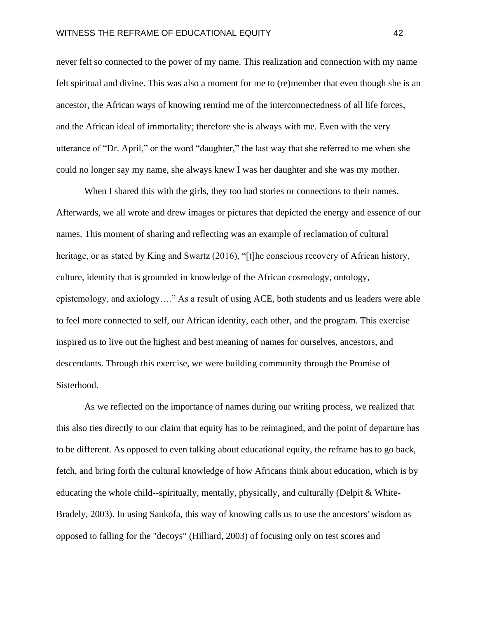never felt so connected to the power of my name. This realization and connection with my name felt spiritual and divine. This was also a moment for me to (re)member that even though she is an ancestor, the African ways of knowing remind me of the interconnectedness of all life forces, and the African ideal of immortality; therefore she is always with me. Even with the very utterance of "Dr. April," or the word "daughter," the last way that she referred to me when she could no longer say my name, she always knew I was her daughter and she was my mother.

When I shared this with the girls, they too had stories or connections to their names. Afterwards, we all wrote and drew images or pictures that depicted the energy and essence of our names. This moment of sharing and reflecting was an example of reclamation of cultural heritage, or as stated by King and Swartz (2016), "[t]he conscious recovery of African history, culture, identity that is grounded in knowledge of the African cosmology, ontology, epistemology, and axiology…." As a result of using ACE, both students and us leaders were able to feel more connected to self, our African identity, each other, and the program. This exercise inspired us to live out the highest and best meaning of names for ourselves, ancestors, and descendants. Through this exercise, we were building community through the Promise of Sisterhood.

As we reflected on the importance of names during our writing process, we realized that this also ties directly to our claim that equity has to be reimagined, and the point of departure has to be different. As opposed to even talking about educational equity, the reframe has to go back, fetch, and bring forth the cultural knowledge of how Africans think about education, which is by educating the whole child--spiritually, mentally, physically, and culturally (Delpit & White-Bradely, 2003). In using Sankofa, this way of knowing calls us to use the ancestors' wisdom as opposed to falling for the "decoys" (Hilliard, 2003) of focusing only on test scores and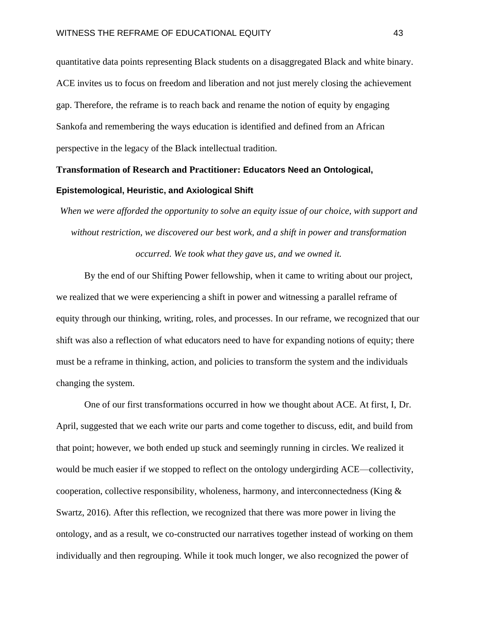quantitative data points representing Black students on a disaggregated Black and white binary. ACE invites us to focus on freedom and liberation and not just merely closing the achievement gap. Therefore, the reframe is to reach back and rename the notion of equity by engaging Sankofa and remembering the ways education is identified and defined from an African perspective in the legacy of the Black intellectual tradition.

# **Transformation of Research and Practitioner: Educators Need an Ontological, Epistemological, Heuristic, and Axiological Shift**

*When we were afforded the opportunity to solve an equity issue of our choice, with support and without restriction, we discovered our best work, and a shift in power and transformation occurred. We took what they gave us, and we owned it.*

By the end of our Shifting Power fellowship, when it came to writing about our project, we realized that we were experiencing a shift in power and witnessing a parallel reframe of equity through our thinking, writing, roles, and processes. In our reframe, we recognized that our shift was also a reflection of what educators need to have for expanding notions of equity; there must be a reframe in thinking, action, and policies to transform the system and the individuals changing the system.

One of our first transformations occurred in how we thought about ACE. At first, I, Dr. April, suggested that we each write our parts and come together to discuss, edit, and build from that point; however, we both ended up stuck and seemingly running in circles. We realized it would be much easier if we stopped to reflect on the ontology undergirding ACE—collectivity, cooperation, collective responsibility, wholeness, harmony, and interconnectedness (King & Swartz, 2016). After this reflection, we recognized that there was more power in living the ontology, and as a result, we co-constructed our narratives together instead of working on them individually and then regrouping. While it took much longer, we also recognized the power of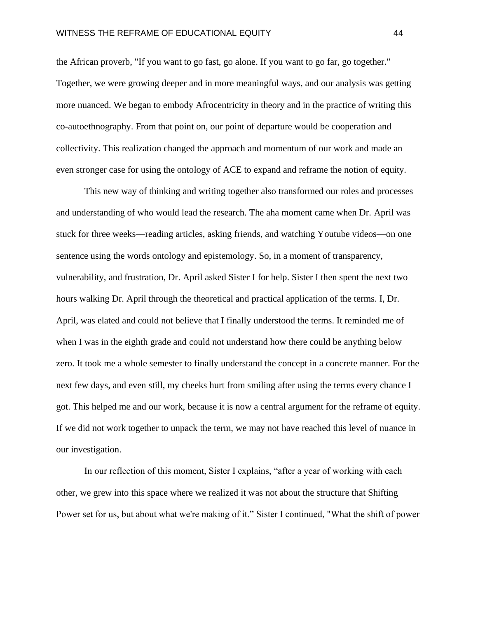the African proverb, "If you want to go fast, go alone. If you want to go far, go together." Together, we were growing deeper and in more meaningful ways, and our analysis was getting more nuanced. We began to embody Afrocentricity in theory and in the practice of writing this co-autoethnography. From that point on, our point of departure would be cooperation and collectivity. This realization changed the approach and momentum of our work and made an even stronger case for using the ontology of ACE to expand and reframe the notion of equity.

This new way of thinking and writing together also transformed our roles and processes and understanding of who would lead the research. The aha moment came when Dr. April was stuck for three weeks—reading articles, asking friends, and watching Youtube videos—on one sentence using the words ontology and epistemology. So, in a moment of transparency, vulnerability, and frustration, Dr. April asked Sister I for help. Sister I then spent the next two hours walking Dr. April through the theoretical and practical application of the terms. I, Dr. April, was elated and could not believe that I finally understood the terms. It reminded me of when I was in the eighth grade and could not understand how there could be anything below zero. It took me a whole semester to finally understand the concept in a concrete manner. For the next few days, and even still, my cheeks hurt from smiling after using the terms every chance I got. This helped me and our work, because it is now a central argument for the reframe of equity. If we did not work together to unpack the term, we may not have reached this level of nuance in our investigation.

In our reflection of this moment, Sister I explains, "after a year of working with each other, we grew into this space where we realized it was not about the structure that Shifting Power set for us, but about what we're making of it." Sister I continued, "What the shift of power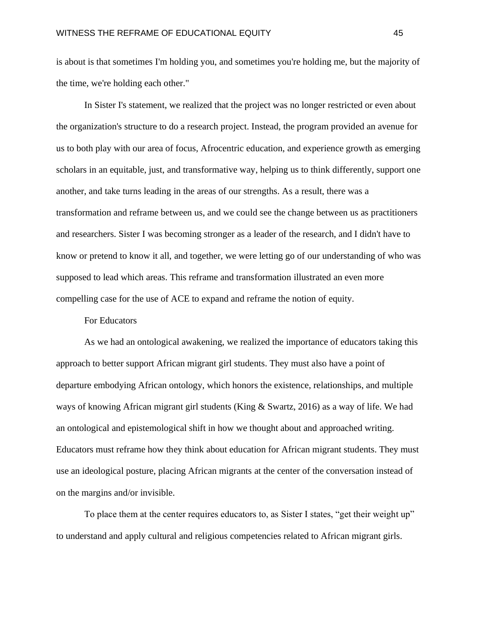is about is that sometimes I'm holding you, and sometimes you're holding me, but the majority of the time, we're holding each other."

In Sister I's statement, we realized that the project was no longer restricted or even about the organization's structure to do a research project. Instead, the program provided an avenue for us to both play with our area of focus, Afrocentric education, and experience growth as emerging scholars in an equitable, just, and transformative way, helping us to think differently, support one another, and take turns leading in the areas of our strengths. As a result, there was a transformation and reframe between us, and we could see the change between us as practitioners and researchers. Sister I was becoming stronger as a leader of the research, and I didn't have to know or pretend to know it all, and together, we were letting go of our understanding of who was supposed to lead which areas. This reframe and transformation illustrated an even more compelling case for the use of ACE to expand and reframe the notion of equity.

#### For Educators

As we had an ontological awakening, we realized the importance of educators taking this approach to better support African migrant girl students. They must also have a point of departure embodying African ontology, which honors the existence, relationships, and multiple ways of knowing African migrant girl students (King & Swartz, 2016) as a way of life. We had an ontological and epistemological shift in how we thought about and approached writing. Educators must reframe how they think about education for African migrant students. They must use an ideological posture, placing African migrants at the center of the conversation instead of on the margins and/or invisible.

To place them at the center requires educators to, as Sister I states, "get their weight up" to understand and apply cultural and religious competencies related to African migrant girls.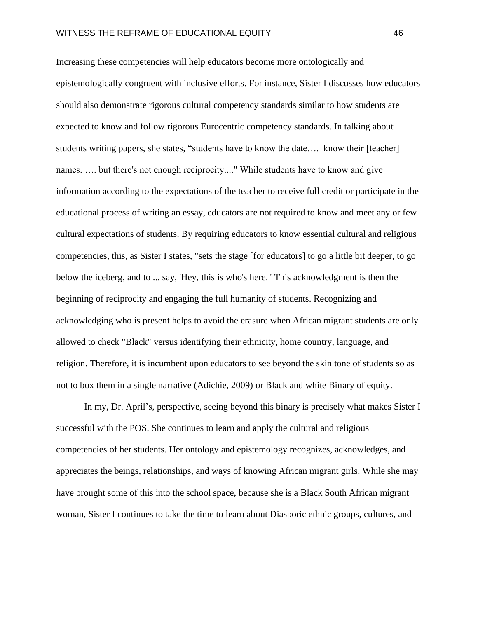Increasing these competencies will help educators become more ontologically and epistemologically congruent with inclusive efforts. For instance, Sister I discusses how educators should also demonstrate rigorous cultural competency standards similar to how students are expected to know and follow rigorous Eurocentric competency standards. In talking about students writing papers, she states, "students have to know the date.... know their [teacher] names. …. but there's not enough reciprocity...." While students have to know and give information according to the expectations of the teacher to receive full credit or participate in the educational process of writing an essay, educators are not required to know and meet any or few cultural expectations of students. By requiring educators to know essential cultural and religious competencies, this, as Sister I states, "sets the stage [for educators] to go a little bit deeper, to go below the iceberg, and to ... say, 'Hey, this is who's here." This acknowledgment is then the beginning of reciprocity and engaging the full humanity of students. Recognizing and acknowledging who is present helps to avoid the erasure when African migrant students are only allowed to check "Black" versus identifying their ethnicity, home country, language, and religion. Therefore, it is incumbent upon educators to see beyond the skin tone of students so as not to box them in a single narrative (Adichie, 2009) or Black and white Binary of equity.

In my, Dr. April's, perspective, seeing beyond this binary is precisely what makes Sister I successful with the POS. She continues to learn and apply the cultural and religious competencies of her students. Her ontology and epistemology recognizes, acknowledges, and appreciates the beings, relationships, and ways of knowing African migrant girls. While she may have brought some of this into the school space, because she is a Black South African migrant woman, Sister I continues to take the time to learn about Diasporic ethnic groups, cultures, and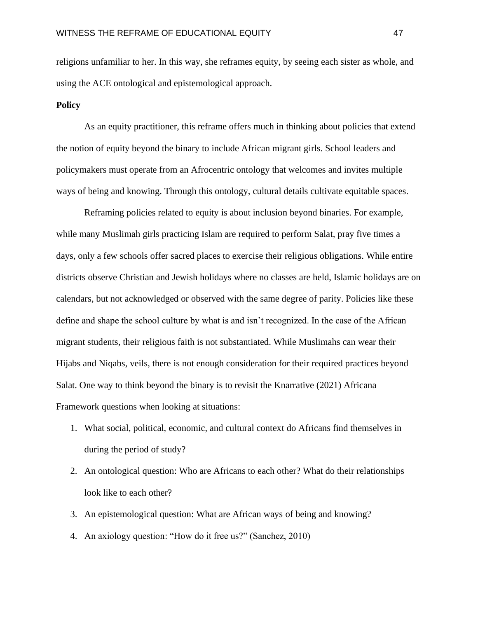religions unfamiliar to her. In this way, she reframes equity, by seeing each sister as whole, and using the ACE ontological and epistemological approach.

# **Policy**

As an equity practitioner, this reframe offers much in thinking about policies that extend the notion of equity beyond the binary to include African migrant girls. School leaders and policymakers must operate from an Afrocentric ontology that welcomes and invites multiple ways of being and knowing. Through this ontology, cultural details cultivate equitable spaces.

Reframing policies related to equity is about inclusion beyond binaries. For example, while many Muslimah girls practicing Islam are required to perform Salat, pray five times a days, only a few schools offer sacred places to exercise their religious obligations. While entire districts observe Christian and Jewish holidays where no classes are held, Islamic holidays are on calendars, but not acknowledged or observed with the same degree of parity. Policies like these define and shape the school culture by what is and isn't recognized. In the case of the African migrant students, their religious faith is not substantiated. While Muslimahs can wear their Hijabs and Niqabs, veils, there is not enough consideration for their required practices beyond Salat. One way to think beyond the binary is to revisit the Knarrative (2021) Africana Framework questions when looking at situations:

- 1. What social, political, economic, and cultural context do Africans find themselves in during the period of study?
- 2. An ontological question: Who are Africans to each other? What do their relationships look like to each other?
- 3. An epistemological question: What are African ways of being and knowing?
- 4. An axiology question: "How do it free us?" (Sanchez, 2010)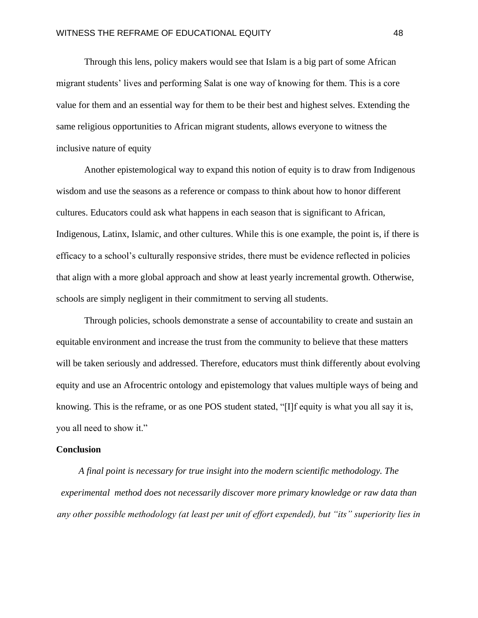Through this lens, policy makers would see that Islam is a big part of some African migrant students' lives and performing Salat is one way of knowing for them. This is a core value for them and an essential way for them to be their best and highest selves. Extending the same religious opportunities to African migrant students, allows everyone to witness the inclusive nature of equity

Another epistemological way to expand this notion of equity is to draw from Indigenous wisdom and use the seasons as a reference or compass to think about how to honor different cultures. Educators could ask what happens in each season that is significant to African, Indigenous, Latinx, Islamic, and other cultures. While this is one example, the point is, if there is efficacy to a school's culturally responsive strides, there must be evidence reflected in policies that align with a more global approach and show at least yearly incremental growth. Otherwise, schools are simply negligent in their commitment to serving all students.

Through policies, schools demonstrate a sense of accountability to create and sustain an equitable environment and increase the trust from the community to believe that these matters will be taken seriously and addressed. Therefore, educators must think differently about evolving equity and use an Afrocentric ontology and epistemology that values multiple ways of being and knowing. This is the reframe, or as one POS student stated, "[I]f equity is what you all say it is, you all need to show it."

#### **Conclusion**

*A final point is necessary for true insight into the modern scientific methodology. The experimental method does not necessarily discover more primary knowledge or raw data than any other possible methodology (at least per unit of effort expended), but "its" superiority lies in*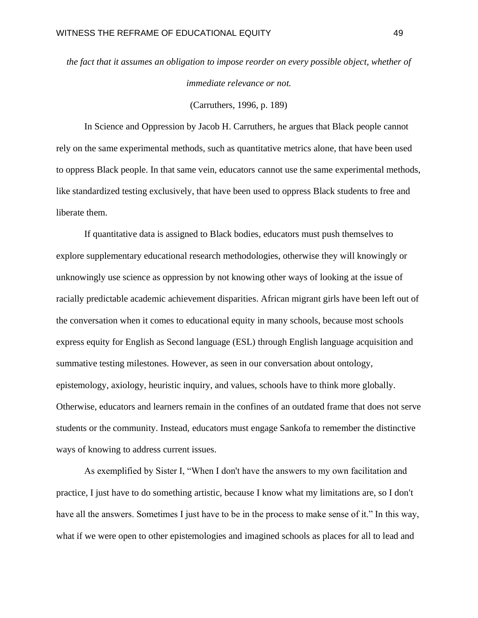*the fact that it assumes an obligation to impose reorder on every possible object, whether of immediate relevance or not.* 

(Carruthers, 1996, p. 189)

In Science and Oppression by Jacob H. Carruthers, he argues that Black people cannot rely on the same experimental methods, such as quantitative metrics alone, that have been used to oppress Black people. In that same vein, educators cannot use the same experimental methods, like standardized testing exclusively, that have been used to oppress Black students to free and liberate them.

If quantitative data is assigned to Black bodies, educators must push themselves to explore supplementary educational research methodologies, otherwise they will knowingly or unknowingly use science as oppression by not knowing other ways of looking at the issue of racially predictable academic achievement disparities. African migrant girls have been left out of the conversation when it comes to educational equity in many schools, because most schools express equity for English as Second language (ESL) through English language acquisition and summative testing milestones. However, as seen in our conversation about ontology, epistemology, axiology, heuristic inquiry, and values, schools have to think more globally. Otherwise, educators and learners remain in the confines of an outdated frame that does not serve students or the community. Instead, educators must engage Sankofa to remember the distinctive ways of knowing to address current issues.

As exemplified by Sister I, "When I don't have the answers to my own facilitation and practice, I just have to do something artistic, because I know what my limitations are, so I don't have all the answers. Sometimes I just have to be in the process to make sense of it." In this way, what if we were open to other epistemologies and imagined schools as places for all to lead and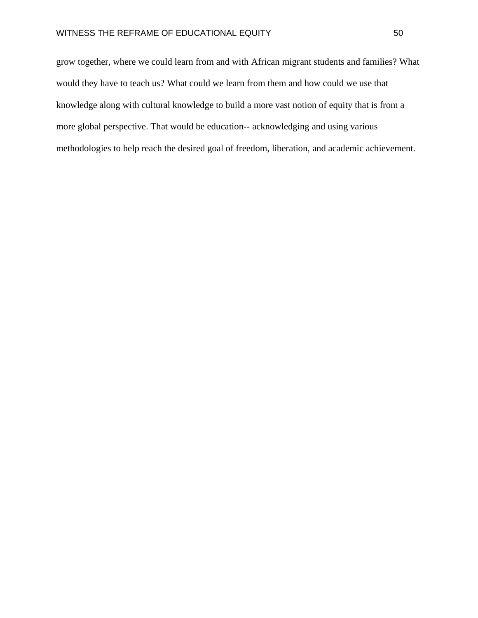grow together, where we could learn from and with African migrant students and families? What would they have to teach us? What could we learn from them and how could we use that knowledge along with cultural knowledge to build a more vast notion of equity that is from a more global perspective. That would be education-- acknowledging and using various methodologies to help reach the desired goal of freedom, liberation, and academic achievement.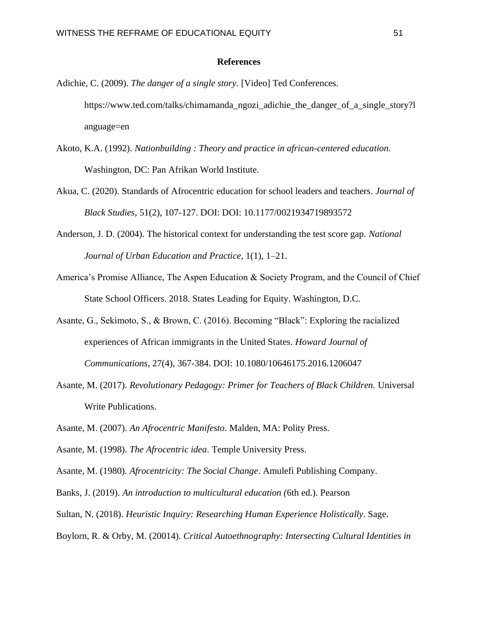# **References**

- Adichie, C. (2009). *The danger of a single story*. [Video] Ted Conferences. [https://www.ted.com/talks/chimamanda\\_ngozi\\_adichie\\_the\\_danger\\_of\\_a\\_single\\_story?l](https://www.ted.com/talks/chimamanda_ngozi_adichie_the_danger_of_a_single_story?l) anguage=en
- Akoto, K.A. (1992). *Nationbuilding : Theory and practice in african-centered education.*  Washington, DC: Pan Afrikan World Institute.
- Akua, C. (2020). Standards of Afrocentric education for school leaders and teachers. *Journal of Black Studies,* 51(2), 107-127. DOI: DOI: 10.1177/0021934719893572
- Anderson, J. D. (2004). The historical context for understanding the test score gap. *National Journal of Urban Education and Practice*, 1(1), 1–21.
- America's Promise Alliance, The Aspen Education & Society Program, and the Council of Chief State School Officers. 2018. States Leading for Equity. Washington, D.C.
- Asante, G., Sekimoto, S., & Brown, C. (2016). Becoming "Black": Exploring the racialized experiences of African immigrants in the United States. *Howard Journal of Communications*, 27(4), 367-384. DOI: 10.1080/10646175.2016.1206047
- Asante, M. (2017). *Revolutionary Pedagogy: Primer for Teachers of Black Children.* Universal Write Publications.
- Asante, M. (2007). *An Afrocentric Manifesto*. Malden, MA: Polity Press.
- Asante, M. (1998). *The Afrocentric idea*. Temple University Press.
- Asante, M. (1980). *Afrocentricity: The Social Change*. Amulefi Publishing Company.
- Banks, J. (2019). *An introduction to multicultural education (*6th ed.). Pearson
- Sultan, N. (2018). *Heuristic Inquiry: Researching Human Experience Holistically*. Sage.
- Boylorn, R. & Orby, M. (20014). *Critical Autoethnography: Intersecting Cultural Identities in*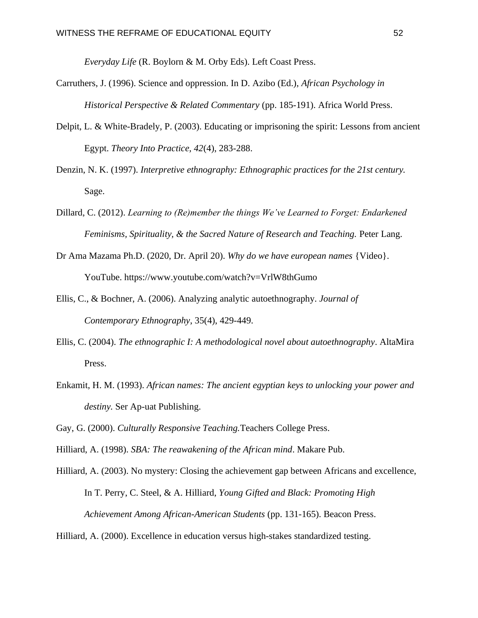*Everyday Life* (R. Boylorn & M. Orby Eds). Left Coast Press.

- Carruthers, J. (1996). Science and oppression. In D. Azibo (Ed.), *African Psychology in Historical Perspective & Related Commentary* (pp. 185-191). Africa World Press.
- Delpit, L. & White-Bradely, P. (2003). Educating or imprisoning the spirit: Lessons from ancient Egypt. *Theory Into Practice, 42*(4), 283-288.
- Denzin, N. K. (1997). *Interpretive ethnography: Ethnographic practices for the 21st century.*  Sage.
- Dillard, C. (2012). *Learning to (Re)member the things We've Learned to Forget: Endarkened Feminisms, Spirituality, & the Sacred Nature of Research and Teaching.* Peter Lang.
- Dr Ama Mazama Ph.D. (2020, Dr. April 20). *Why do we have european names* {Video}. YouTube. https://www.youtube.com/watch?v=VrlW8thGumo
- Ellis, C., & Bochner, A. (2006). Analyzing analytic autoethnography. *Journal of Contemporary Ethnography*, 35(4), 429-449.
- Ellis, C. (2004). *The ethnographic I: A methodological novel about autoethnography*. AltaMira Press.
- Enkamit, H. M. (1993). *African names: The ancient egyptian keys to unlocking your power and destiny.* Ser Ap-uat Publishing.
- Gay, G. (2000). *Culturally Responsive Teaching.*Teachers College Press.
- Hilliard, A. (1998). *SBA: The reawakening of the African mind*. Makare Pub.
- Hilliard, A. (2003). No mystery: Closing the achievement gap between Africans and excellence, In T. Perry, C. Steel, & A. Hilliard, *Young Gifted and Black: Promoting High Achievement Among African-American Students* (pp. 131-165). Beacon Press.
- Hilliard, A. (2000). Excellence in education versus high-stakes standardized testing.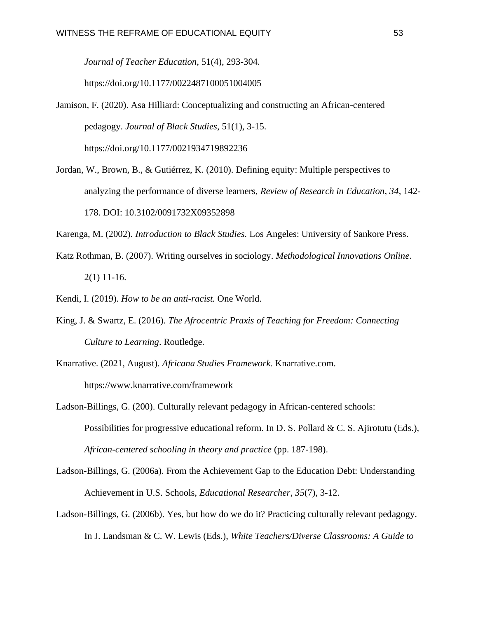*Journal of Teacher Education*, 51(4), 293-304.

https://doi.org/10.1177/0022487100051004005

- Jamison, F. (2020). Asa Hilliard: Conceptualizing and constructing an African-centered pedagogy. *Journal of Black Studies*, 51(1), 3-15. <https://doi.org/10.1177/0021934719892236>
- Jordan, W., Brown, B., & Gutiérrez, K. (2010). Defining equity: Multiple perspectives to analyzing the performance of diverse learners, *Review of Research in Education*, *34*, 142- 178. DOI: 10.3102/0091732X09352898

Karenga, M. (2002). *Introduction to Black Studies.* Los Angeles: University of Sankore Press.

Katz Rothman, B. (2007). Writing ourselves in sociology. *Methodological Innovations Online*. 2(1) 11-16.

Kendi, I. (2019). *How to be an anti-racist.* One World.

- King, J. & Swartz, E. (2016). *The Afrocentric Praxis of Teaching for Freedom: Connecting Culture to Learning*. Routledge.
- Knarrative. (2021, August). *Africana Studies Framework.* Knarrative.com. <https://www.knarrative.com/framework>
- Ladson-Billings, G. (200). Culturally relevant pedagogy in African-centered schools: Possibilities for progressive educational reform. In D. S. Pollard & C. S. Ajirotutu (Eds.), *African-centered schooling in theory and practice* (pp. 187-198).
- Ladson-Billings, G. (2006a). From the Achievement Gap to the Education Debt: Understanding Achievement in U.S. Schools, *Educational Researcher*, *35*(7), 3-12.
- Ladson-Billings, G. (2006b). Yes, but how do we do it? Practicing culturally relevant pedagogy. In J. Landsman & C. W. Lewis (Eds.), *White Teachers/Diverse Classrooms: A Guide to*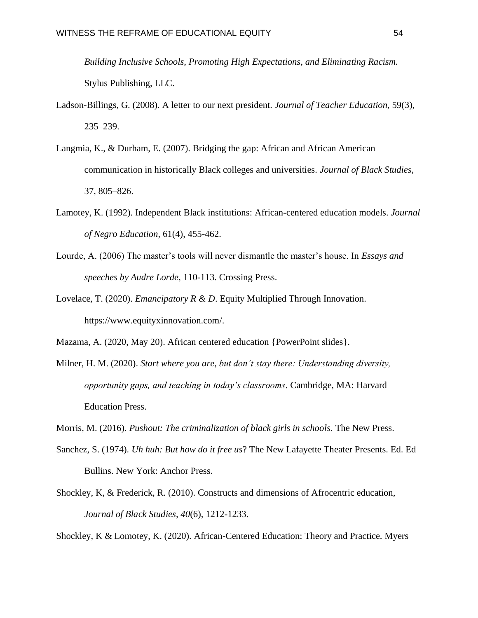*Building Inclusive Schools, Promoting High Expectations, and Eliminating Racism.*  Stylus Publishing, LLC.

- Ladson-Billings, G. (2008). A letter to our next president. *Journal of Teacher Education*, 59(3), 235–239.
- Langmia, K., & Durham, E. (2007). Bridging the gap: African and African American communication in historically Black colleges and universities. *Journal of Black Studies*, 37, 805–826.
- Lamotey, K. (1992). Independent Black institutions: African-centered education models. *Journal of Negro Education,* 61(4), 455-462.
- Lourde, A. (2006) The master's tools will never dismantle the master's house. In *Essays and speeches by Audre Lorde*, 110-113*.* Crossing Press.
- Lovelace, T. (2020). *Emancipatory R & D*. Equity Multiplied Through Innovation. https://www.equityxinnovation.com/.
- Mazama, A. (2020, May 20). African centered education {PowerPoint slides}.
- Milner, H. M. (2020). *Start where you are, but don't stay there: Understanding diversity, opportunity gaps, and teaching in today's classrooms*. Cambridge, MA: Harvard Education Press.
- Morris, M. (2016). *Pushout: The criminalization of black girls in schools.* The New Press.
- Sanchez, S. (1974). *Uh huh: But how do it free us*? The New Lafayette Theater Presents. Ed. Ed Bullins. New York: Anchor Press.
- Shockley, K, & Frederick, R. (2010). Constructs and dimensions of Afrocentric education*, Journal of Black Studies, 40*(6), 1212-1233.

Shockley, K & Lomotey, K. (2020). African-Centered Education: Theory and Practice. Myers